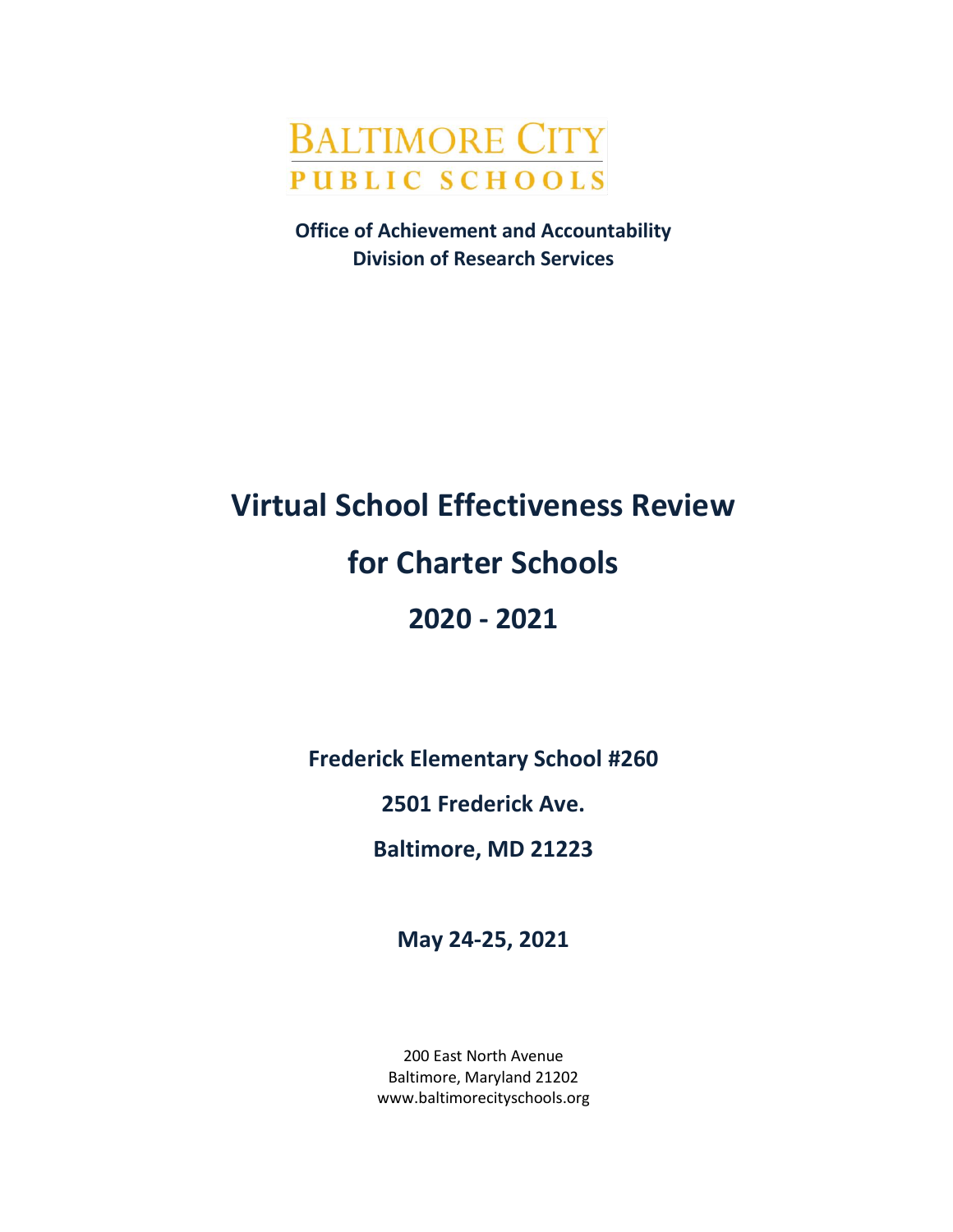# **BALTIMORE CITY PUBLIC SCHOOLS**

**Office of Achievement and Accountability Division of Research Services**

# **Virtual School Effectiveness Review for Charter Schools 2020 - 2021**

**Frederick Elementary School #260**

**2501 Frederick Ave.**

**Baltimore, MD 21223**

**May 24-25, 2021**

200 East North Avenue Baltimore, Maryland 21202 www.baltimorecityschools.org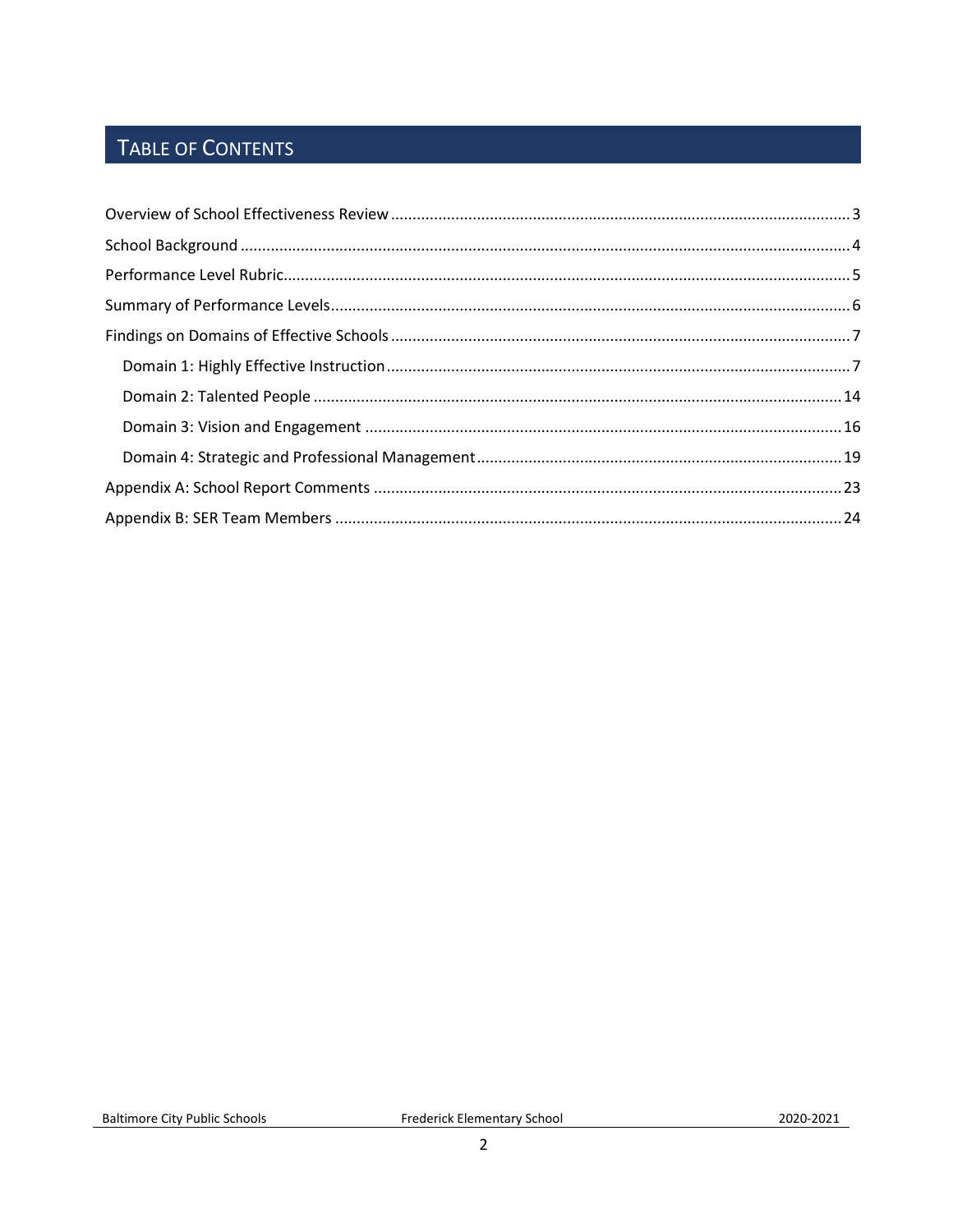# TABLE OF CONTENTS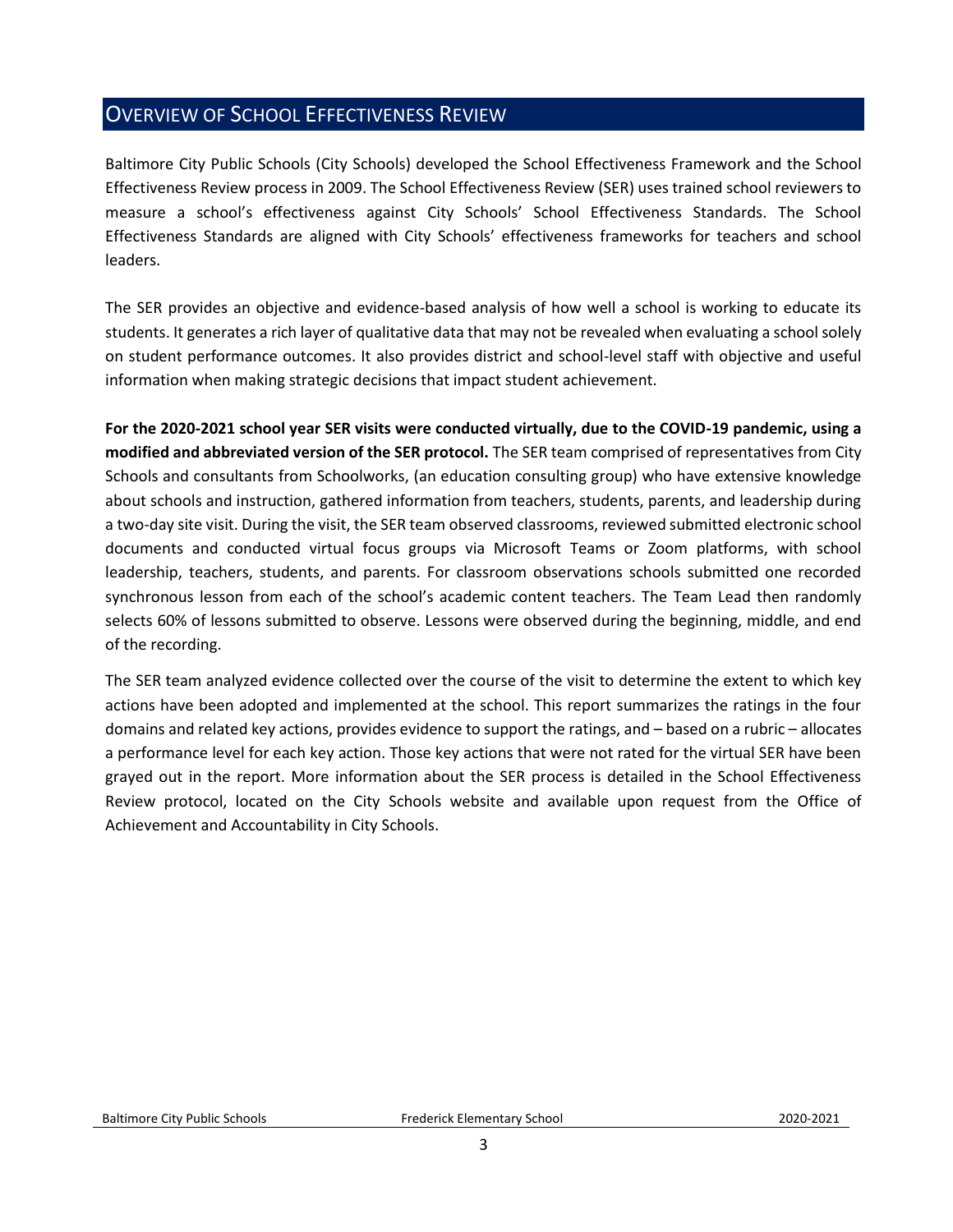# <span id="page-2-0"></span>OVERVIEW OF SCHOOL EFFECTIVENESS REVIEW

Baltimore City Public Schools (City Schools) developed the School Effectiveness Framework and the School Effectiveness Review process in 2009. The School Effectiveness Review (SER) uses trained school reviewers to measure a school's effectiveness against City Schools' School Effectiveness Standards. The School Effectiveness Standards are aligned with City Schools' effectiveness frameworks for teachers and school leaders.

The SER provides an objective and evidence-based analysis of how well a school is working to educate its students. It generates a rich layer of qualitative data that may not be revealed when evaluating a school solely on student performance outcomes. It also provides district and school-level staff with objective and useful information when making strategic decisions that impact student achievement.

**For the 2020-2021 school year SER visits were conducted virtually, due to the COVID-19 pandemic, using a modified and abbreviated version of the SER protocol.** The SER team comprised of representatives from City Schools and consultants from Schoolworks, (an education consulting group) who have extensive knowledge about schools and instruction, gathered information from teachers, students, parents, and leadership during a two-day site visit. During the visit, the SER team observed classrooms, reviewed submitted electronic school documents and conducted virtual focus groups via Microsoft Teams or Zoom platforms, with school leadership, teachers, students, and parents. For classroom observations schools submitted one recorded synchronous lesson from each of the school's academic content teachers. The Team Lead then randomly selects 60% of lessons submitted to observe. Lessons were observed during the beginning, middle, and end of the recording.

The SER team analyzed evidence collected over the course of the visit to determine the extent to which key actions have been adopted and implemented at the school. This report summarizes the ratings in the four domains and related key actions, provides evidence to support the ratings, and – based on a rubric – allocates a performance level for each key action. Those key actions that were not rated for the virtual SER have been grayed out in the report. More information about the SER process is detailed in the School Effectiveness Review protocol, located on the City Schools website and available upon request from the Office of Achievement and Accountability in City Schools.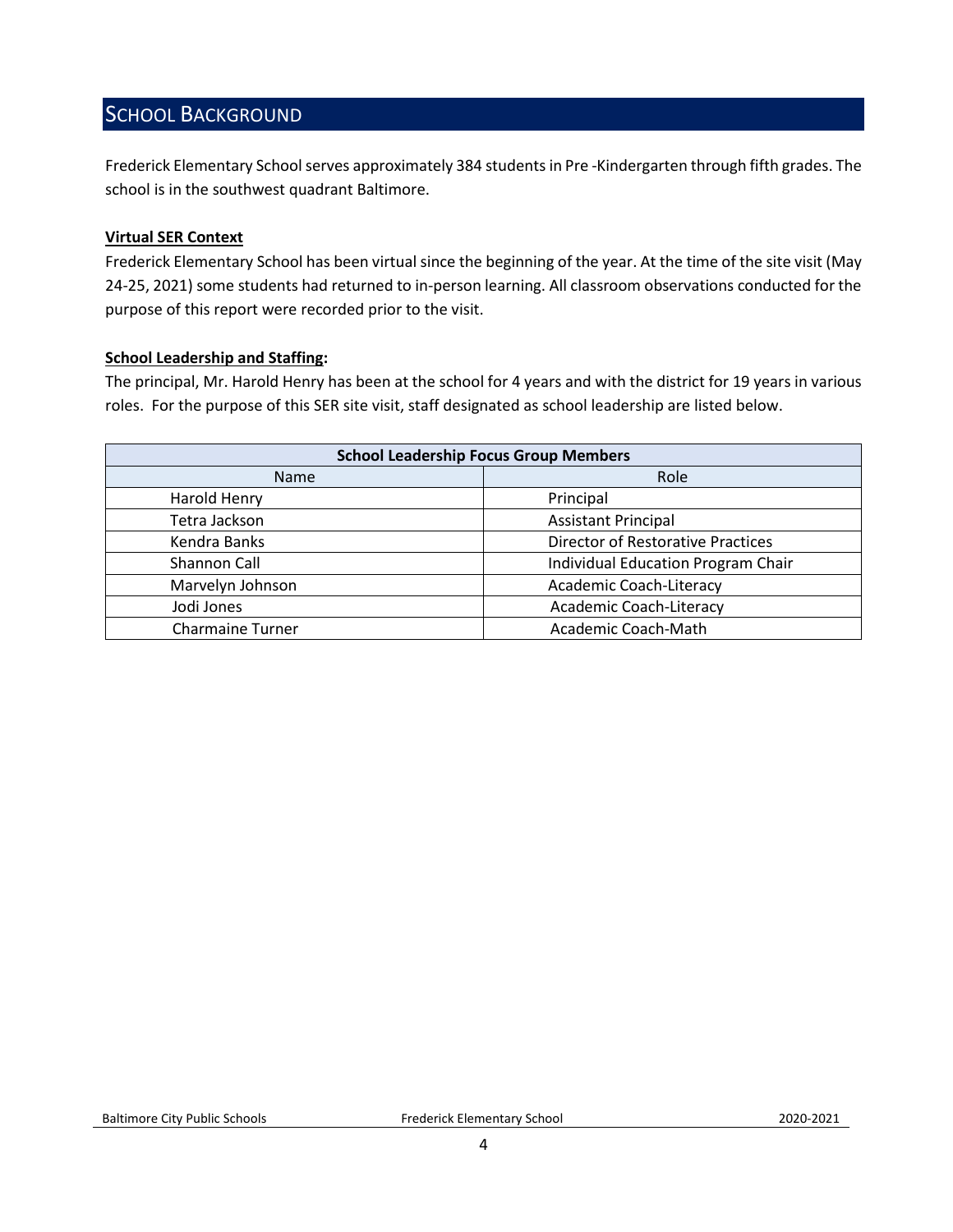# <span id="page-3-0"></span>SCHOOL BACKGROUND

Frederick Elementary School serves approximately 384 students in Pre -Kindergarten through fifth grades. The school is in the southwest quadrant Baltimore.

#### **Virtual SER Context**

Frederick Elementary School has been virtual since the beginning of the year. At the time of the site visit (May 24-25, 2021) some students had returned to in-person learning. All classroom observations conducted for the purpose of this report were recorded prior to the visit.

#### **School Leadership and Staffing:**

The principal, Mr. Harold Henry has been at the school for 4 years and with the district for 19 years in various roles. For the purpose of this SER site visit, staff designated as school leadership are listed below.

<span id="page-3-1"></span>

| <b>School Leadership Focus Group Members</b> |                                           |  |
|----------------------------------------------|-------------------------------------------|--|
| Name                                         | Role                                      |  |
| Harold Henry                                 | Principal                                 |  |
| Tetra Jackson                                | <b>Assistant Principal</b>                |  |
| Kendra Banks                                 | <b>Director of Restorative Practices</b>  |  |
| Shannon Call                                 | <b>Individual Education Program Chair</b> |  |
| Marvelyn Johnson                             | Academic Coach-Literacy                   |  |
| Jodi Jones                                   | Academic Coach-Literacy                   |  |
| <b>Charmaine Turner</b>                      | Academic Coach-Math                       |  |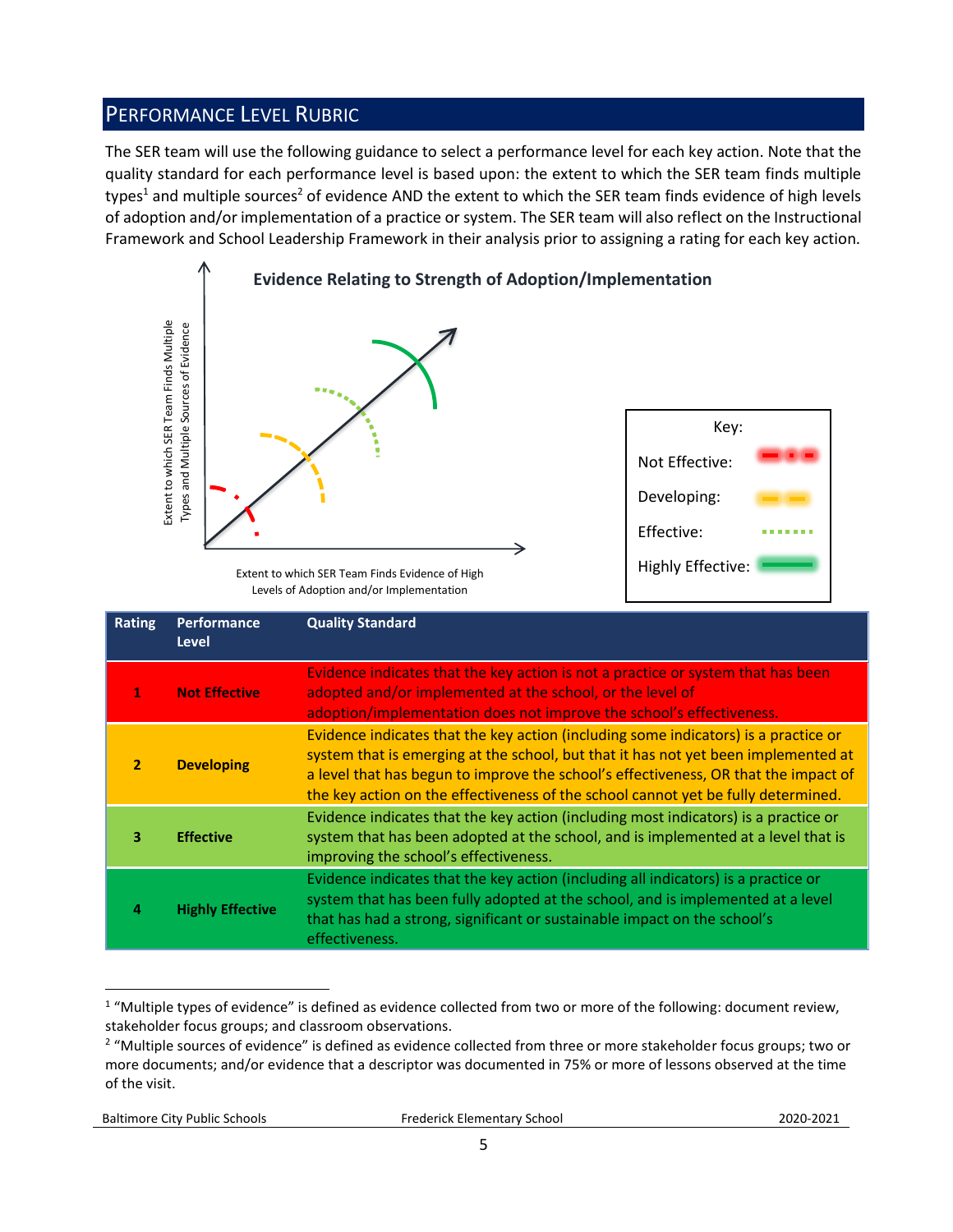# PERFORMANCE LEVEL RUBRIC

The SER team will use the following guidance to select a performance level for each key action. Note that the quality standard for each performance level is based upon: the extent to which the SER team finds multiple types<sup>1</sup> and multiple sources<sup>2</sup> of evidence AND the extent to which the SER team finds evidence of high levels of adoption and/or implementation of a practice or system. The SER team will also reflect on the Instructional Framework and School Leadership Framework in their analysis prior to assigning a rating for each key action.



Levels of Adoption and/or Implementation

|                | Extent to which SER Team Finds Multiple<br>Types and Multiple Sources of Evidence | Extent to which SER Team Finds Evidence of High<br>Levels of Adoption and/or Implementation                                                                                                                                                                                                                                                                                                                                                    | Key:<br>Not Effective:<br>Developing:<br>Effective:<br><b>Highly Effective:</b> |  |
|----------------|-----------------------------------------------------------------------------------|------------------------------------------------------------------------------------------------------------------------------------------------------------------------------------------------------------------------------------------------------------------------------------------------------------------------------------------------------------------------------------------------------------------------------------------------|---------------------------------------------------------------------------------|--|
| <b>Rating</b>  | Performance<br><b>Level</b>                                                       | <b>Quality Standard</b>                                                                                                                                                                                                                                                                                                                                                                                                                        |                                                                                 |  |
| 1              | <b>Not Effective</b>                                                              | Evidence indicates that the key action is not a practice or system that has been<br>adopted and/or implemented at the school, or the level of<br>adoption/implementation does not improve the school's effectiveness.                                                                                                                                                                                                                          |                                                                                 |  |
| $\overline{2}$ | <b>Developing</b>                                                                 | Evidence indicates that the key action (including some indicators) is a practice or<br>system that is emerging at the school, but that it has not yet been implemented at<br>a level that has begun to improve the school's effectiveness, OR that the impact of<br>the key action on the effectiveness of the school cannot yet be fully determined.                                                                                          |                                                                                 |  |
| 3              | <b>Effective</b>                                                                  | Evidence indicates that the key action (including most indicators) is a practice or<br>system that has been adopted at the school, and is implemented at a level that is<br>improving the school's effectiveness.                                                                                                                                                                                                                              |                                                                                 |  |
| 4              | <b>Highly Effective</b>                                                           | Evidence indicates that the key action (including all indicators) is a practice or<br>system that has been fully adopted at the school, and is implemented at a level<br>that has had a strong, significant or sustainable impact on the school's<br>effectiveness.                                                                                                                                                                            |                                                                                 |  |
| of the visit.  |                                                                                   | <sup>1</sup> "Multiple types of evidence" is defined as evidence collected from two or more of the following: document review,<br>stakeholder focus groups; and classroom observations.<br><sup>2</sup> "Multiple sources of evidence" is defined as evidence collected from three or more stakeholder focus groups; two or<br>more documents; and/or evidence that a descriptor was documented in 75% or more of lessons observed at the time |                                                                                 |  |

 $\overline{a}$  $1$  "Multiple types of evidence" is defined as evidence collected from two or more of the following: document review, stakeholder focus groups; and classroom observations.

<sup>&</sup>lt;sup>2</sup> "Multiple sources of evidence" is defined as evidence collected from three or more stakeholder focus groups; two or more documents; and/or evidence that a descriptor was documented in 75% or more of lessons observed at the time of the visit.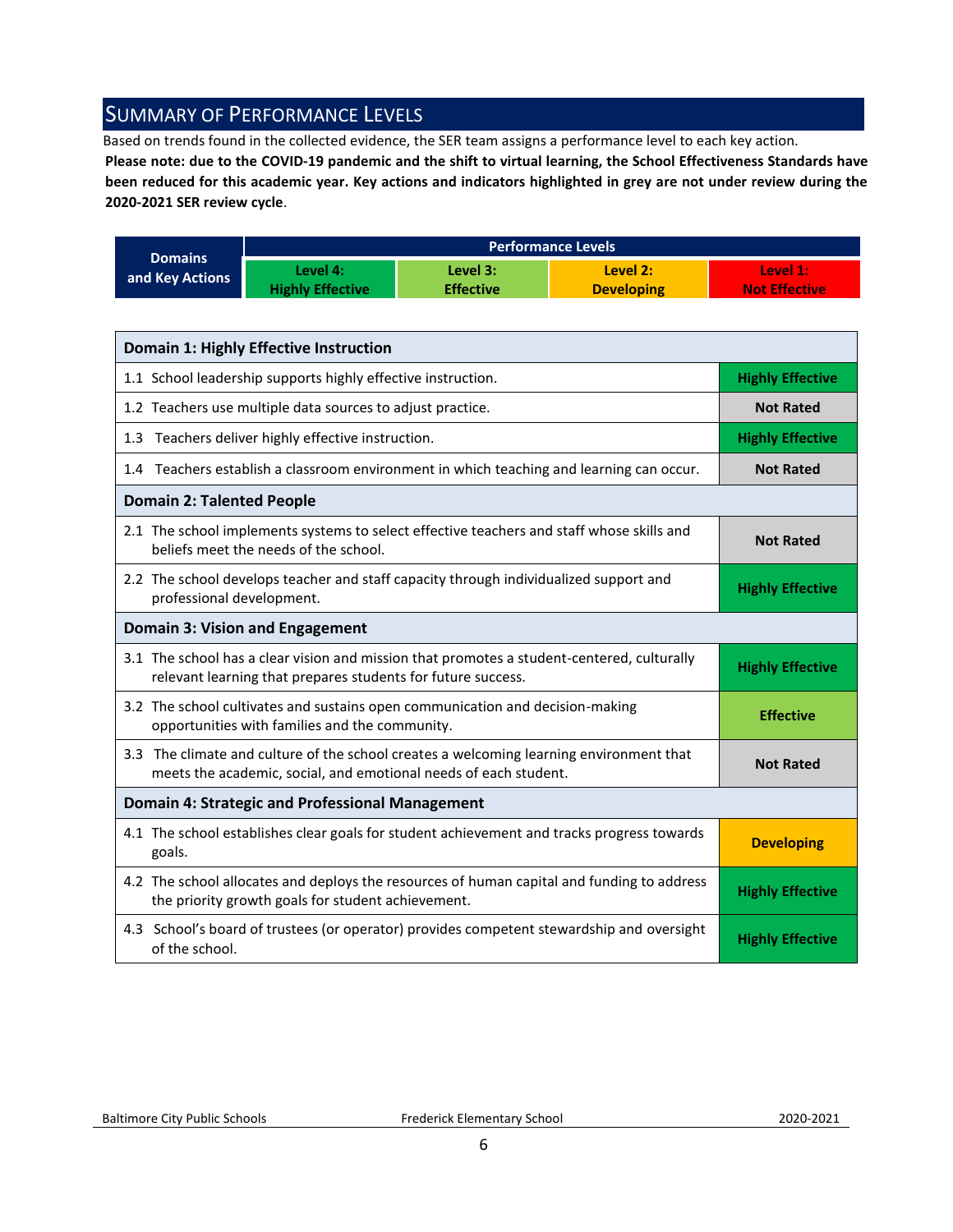# <span id="page-5-0"></span>SUMMARY OF PERFORMANCE LEVELS

Based on trends found in the collected evidence, the SER team assigns a performance level to each key action.

**Please note: due to the COVID-19 pandemic and the shift to virtual learning, the School Effectiveness Standards have been reduced for this academic year. Key actions and indicators highlighted in grey are not under review during the 2020-2021 SER review cycle**.

|                 | <b>Performance Levels</b> |                  |                   |                      |
|-----------------|---------------------------|------------------|-------------------|----------------------|
| <b>Domains</b>  | Level 4:                  | Level 3:         | Level 2:          | Level 1:             |
| and Key Actions | <b>Highly Effective</b>   | <b>Effective</b> | <b>Developing</b> | <b>Not Effective</b> |

| Domain 1: Highly Effective Instruction                                                                                                                      |                         |  |
|-------------------------------------------------------------------------------------------------------------------------------------------------------------|-------------------------|--|
| 1.1 School leadership supports highly effective instruction.                                                                                                | <b>Highly Effective</b> |  |
| 1.2 Teachers use multiple data sources to adjust practice.                                                                                                  | <b>Not Rated</b>        |  |
| 1.3 Teachers deliver highly effective instruction.                                                                                                          | <b>Highly Effective</b> |  |
| 1.4 Teachers establish a classroom environment in which teaching and learning can occur.                                                                    | <b>Not Rated</b>        |  |
| <b>Domain 2: Talented People</b>                                                                                                                            |                         |  |
| 2.1 The school implements systems to select effective teachers and staff whose skills and<br>beliefs meet the needs of the school.                          | <b>Not Rated</b>        |  |
| 2.2 The school develops teacher and staff capacity through individualized support and<br>professional development.                                          | <b>Highly Effective</b> |  |
| <b>Domain 3: Vision and Engagement</b>                                                                                                                      |                         |  |
| 3.1 The school has a clear vision and mission that promotes a student-centered, culturally<br>relevant learning that prepares students for future success.  | <b>Highly Effective</b> |  |
| 3.2 The school cultivates and sustains open communication and decision-making<br>opportunities with families and the community.                             | <b>Effective</b>        |  |
| 3.3 The climate and culture of the school creates a welcoming learning environment that<br>meets the academic, social, and emotional needs of each student. | <b>Not Rated</b>        |  |
| <b>Domain 4: Strategic and Professional Management</b>                                                                                                      |                         |  |
| 4.1 The school establishes clear goals for student achievement and tracks progress towards<br>goals.                                                        | <b>Developing</b>       |  |
| 4.2 The school allocates and deploys the resources of human capital and funding to address<br>the priority growth goals for student achievement.            | <b>Highly Effective</b> |  |
| 4.3 School's board of trustees (or operator) provides competent stewardship and oversight<br>of the school.                                                 | <b>Highly Effective</b> |  |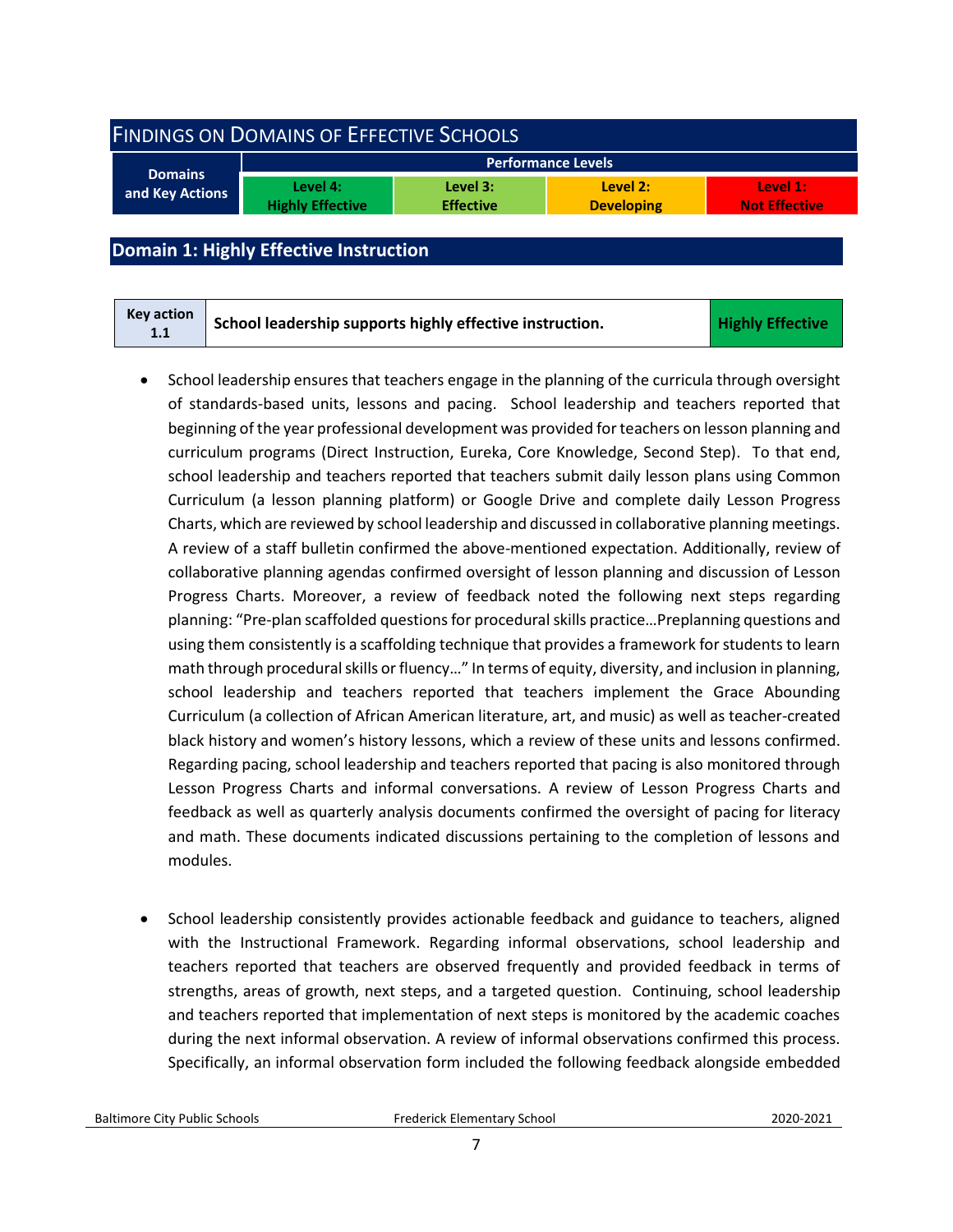<span id="page-6-0"></span>

| <b>FINDINGS ON DOMAINS OF EFFECTIVE SCHOOLS</b> |                                     |                              |                               |                                  |  |
|-------------------------------------------------|-------------------------------------|------------------------------|-------------------------------|----------------------------------|--|
| <b>Performance Levels</b>                       |                                     |                              |                               |                                  |  |
| <b>Domains</b><br>and Key Actions               | Level 4:<br><b>Highly Effective</b> | Level 3:<br><b>Effective</b> | Level 2:<br><b>Developing</b> | Level 1:<br><b>Not Effective</b> |  |
|                                                 |                                     |                              |                               |                                  |  |

# <span id="page-6-1"></span>**Domain 1: Highly Effective Instruction**

| Key action<br>1.1 | School leadership supports highly effective instruction. | <b>Highly Effective</b> |
|-------------------|----------------------------------------------------------|-------------------------|
|-------------------|----------------------------------------------------------|-------------------------|

- School leadership ensures that teachers engage in the planning of the curricula through oversight of standards-based units, lessons and pacing. School leadership and teachers reported that beginning of the year professional development was provided for teachers on lesson planning and curriculum programs (Direct Instruction, Eureka, Core Knowledge, Second Step). To that end, school leadership and teachers reported that teachers submit daily lesson plans using Common Curriculum (a lesson planning platform) or Google Drive and complete daily Lesson Progress Charts, which are reviewed by school leadership and discussed in collaborative planning meetings. A review of a staff bulletin confirmed the above-mentioned expectation. Additionally, review of collaborative planning agendas confirmed oversight of lesson planning and discussion of Lesson Progress Charts. Moreover, a review of feedback noted the following next steps regarding planning: "Pre-plan scaffolded questions for procedural skills practice…Preplanning questions and using them consistently is a scaffolding technique that provides a framework for students to learn math through procedural skills or fluency…" In terms of equity, diversity, and inclusion in planning, school leadership and teachers reported that teachers implement the Grace Abounding Curriculum (a collection of African American literature, art, and music) as well as teacher-created black history and women's history lessons, which a review of these units and lessons confirmed. Regarding pacing, school leadership and teachers reported that pacing is also monitored through Lesson Progress Charts and informal conversations. A review of Lesson Progress Charts and feedback as well as quarterly analysis documents confirmed the oversight of pacing for literacy and math. These documents indicated discussions pertaining to the completion of lessons and modules.
- School leadership consistently provides actionable feedback and guidance to teachers, aligned with the Instructional Framework. Regarding informal observations, school leadership and teachers reported that teachers are observed frequently and provided feedback in terms of strengths, areas of growth, next steps, and a targeted question. Continuing, school leadership and teachers reported that implementation of next steps is monitored by the academic coaches during the next informal observation. A review of informal observations confirmed this process. Specifically, an informal observation form included the following feedback alongside embedded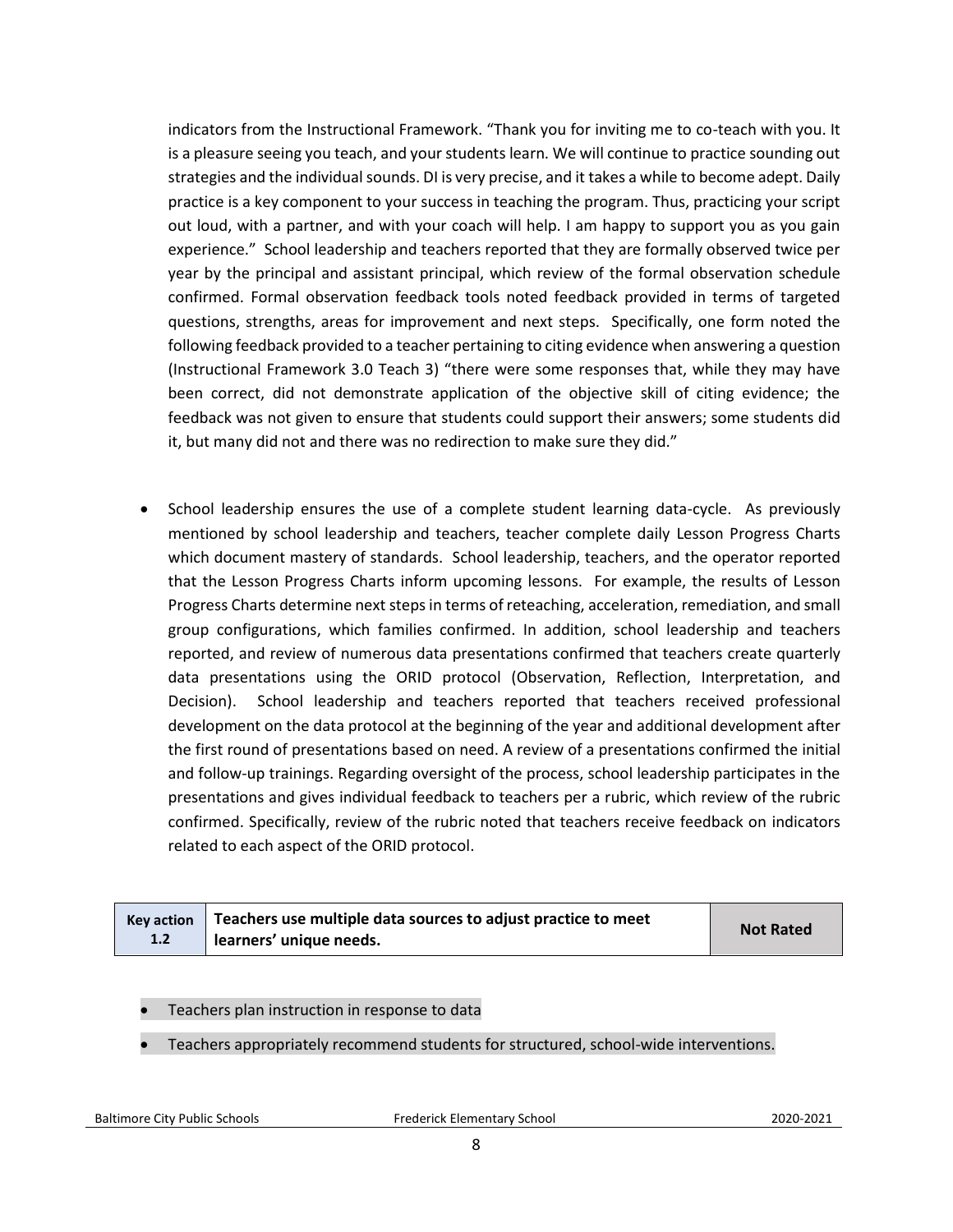indicators from the Instructional Framework. "Thank you for inviting me to co-teach with you. It is a pleasure seeing you teach, and your students learn. We will continue to practice sounding out strategies and the individual sounds. DI is very precise, and it takes a while to become adept. Daily practice is a key component to your success in teaching the program. Thus, practicing your script out loud, with a partner, and with your coach will help. I am happy to support you as you gain experience." School leadership and teachers reported that they are formally observed twice per year by the principal and assistant principal, which review of the formal observation schedule confirmed. Formal observation feedback tools noted feedback provided in terms of targeted questions, strengths, areas for improvement and next steps. Specifically, one form noted the following feedback provided to a teacher pertaining to citing evidence when answering a question (Instructional Framework 3.0 Teach 3) "there were some responses that, while they may have been correct, did not demonstrate application of the objective skill of citing evidence; the feedback was not given to ensure that students could support their answers; some students did it, but many did not and there was no redirection to make sure they did."

• School leadership ensures the use of a complete student learning data-cycle. As previously mentioned by school leadership and teachers, teacher complete daily Lesson Progress Charts which document mastery of standards. School leadership, teachers, and the operator reported that the Lesson Progress Charts inform upcoming lessons. For example, the results of Lesson Progress Charts determine next steps in terms of reteaching, acceleration, remediation, and small group configurations, which families confirmed. In addition, school leadership and teachers reported, and review of numerous data presentations confirmed that teachers create quarterly data presentations using the ORID protocol (Observation, Reflection, Interpretation, and Decision). School leadership and teachers reported that teachers received professional development on the data protocol at the beginning of the year and additional development after the first round of presentations based on need. A review of a presentations confirmed the initial and follow-up trainings. Regarding oversight of the process, school leadership participates in the presentations and gives individual feedback to teachers per a rubric, which review of the rubric confirmed. Specifically, review of the rubric noted that teachers receive feedback on indicators related to each aspect of the ORID protocol.

|     | Key action $\vert$ Teachers use multiple data sources to adjust practice to meet | <b>Not Rated</b> |
|-----|----------------------------------------------------------------------------------|------------------|
| 1.2 | learners' unique needs.                                                          |                  |

- Teachers plan instruction in response to data
- Teachers appropriately recommend students for structured, school-wide interventions.

Baltimore City Public Schools Frederick Elementary School2020-2021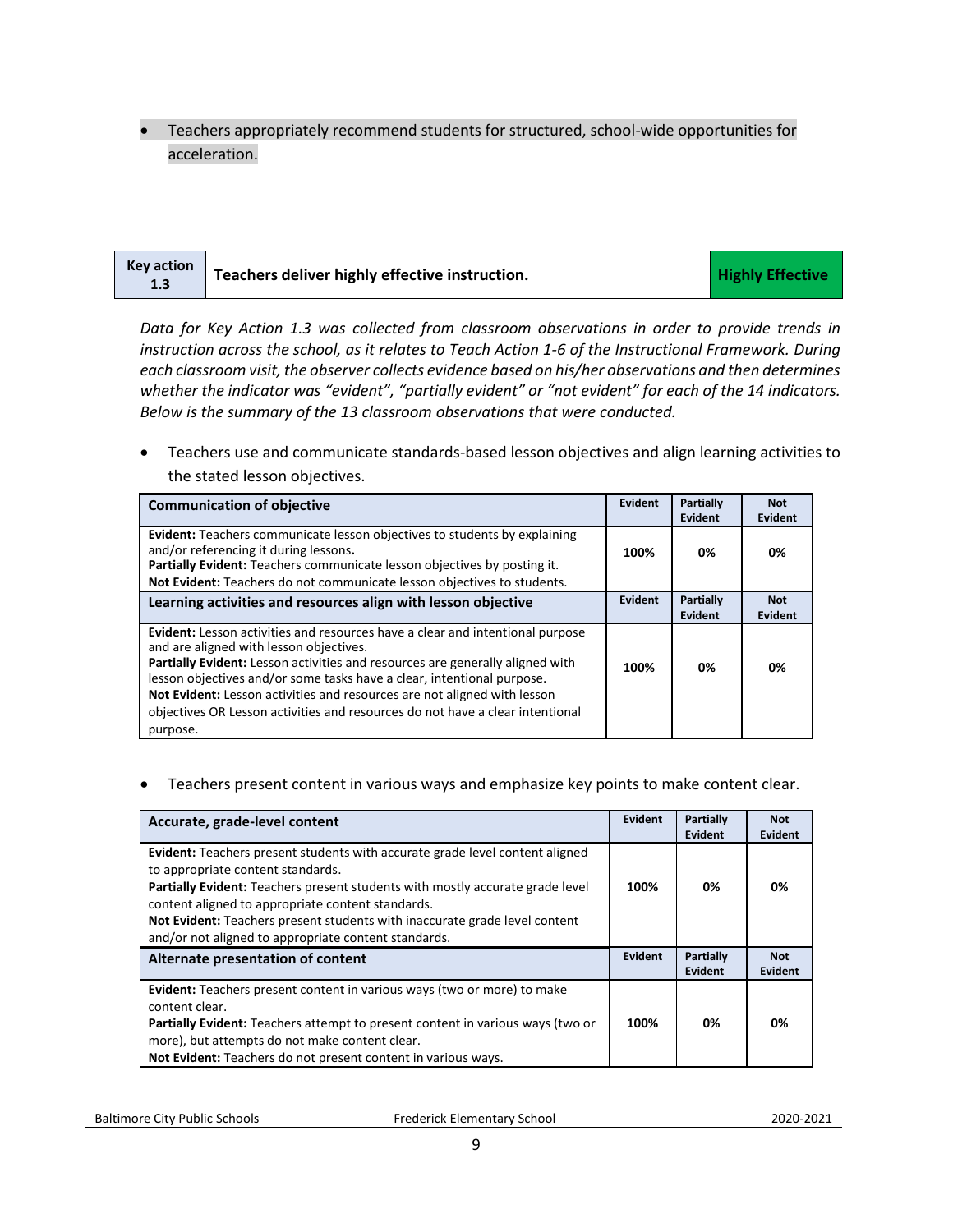• Teachers appropriately recommend students for structured, school-wide opportunities for acceleration.

| <b>Key action</b><br>1.3 | Teachers deliver highly effective instruction. | <b>Highly Effective</b> |
|--------------------------|------------------------------------------------|-------------------------|
|--------------------------|------------------------------------------------|-------------------------|

*Data for Key Action 1.3 was collected from classroom observations in order to provide trends in instruction across the school, as it relates to Teach Action 1-6 of the Instructional Framework. During each classroom visit, the observer collects evidence based on his/her observations and then determines whether the indicator was "evident", "partially evident" or "not evident" for each of the 14 indicators. Below is the summary of the 13 classroom observations that were conducted.* 

• Teachers use and communicate standards-based lesson objectives and align learning activities to the stated lesson objectives.

| <b>Communication of objective</b>                                                                                                                                                                                                                                                                                                                                                                                                                                   | Evident | <b>Partially</b><br>Evident | <b>Not</b><br>Evident        |
|---------------------------------------------------------------------------------------------------------------------------------------------------------------------------------------------------------------------------------------------------------------------------------------------------------------------------------------------------------------------------------------------------------------------------------------------------------------------|---------|-----------------------------|------------------------------|
| <b>Evident:</b> Teachers communicate lesson objectives to students by explaining<br>and/or referencing it during lessons.<br>Partially Evident: Teachers communicate lesson objectives by posting it.<br>Not Evident: Teachers do not communicate lesson objectives to students.                                                                                                                                                                                    | 100%    | 0%                          | 0%                           |
| Learning activities and resources align with lesson objective                                                                                                                                                                                                                                                                                                                                                                                                       | Evident | <b>Partially</b><br>Evident | <b>Not</b><br><b>Evident</b> |
| <b>Evident:</b> Lesson activities and resources have a clear and intentional purpose<br>and are aligned with lesson objectives.<br>Partially Evident: Lesson activities and resources are generally aligned with<br>lesson objectives and/or some tasks have a clear, intentional purpose.<br>Not Evident: Lesson activities and resources are not aligned with lesson<br>objectives OR Lesson activities and resources do not have a clear intentional<br>purpose. | 100%    | 0%                          | 0%                           |

#### • Teachers present content in various ways and emphasize key points to make content clear.

| Accurate, grade-level content                                                                                                                                                                                                                                                                                                                                                                        | Evident | Partially<br>Evident               | <b>Not</b><br>Evident |
|------------------------------------------------------------------------------------------------------------------------------------------------------------------------------------------------------------------------------------------------------------------------------------------------------------------------------------------------------------------------------------------------------|---------|------------------------------------|-----------------------|
| Evident: Teachers present students with accurate grade level content aligned<br>to appropriate content standards.<br><b>Partially Evident:</b> Teachers present students with mostly accurate grade level<br>content aligned to appropriate content standards.<br>Not Evident: Teachers present students with inaccurate grade level content<br>and/or not aligned to appropriate content standards. | 100%    | 0%                                 | 0%                    |
| Alternate presentation of content                                                                                                                                                                                                                                                                                                                                                                    | Evident | <b>Partially</b><br><b>Evident</b> | <b>Not</b><br>Evident |
| <b>Evident:</b> Teachers present content in various ways (two or more) to make<br>content clear.<br><b>Partially Evident:</b> Teachers attempt to present content in various ways (two or<br>more), but attempts do not make content clear.<br><b>Not Evident:</b> Teachers do not present content in various ways.                                                                                  | 100%    | 0%                                 | 0%                    |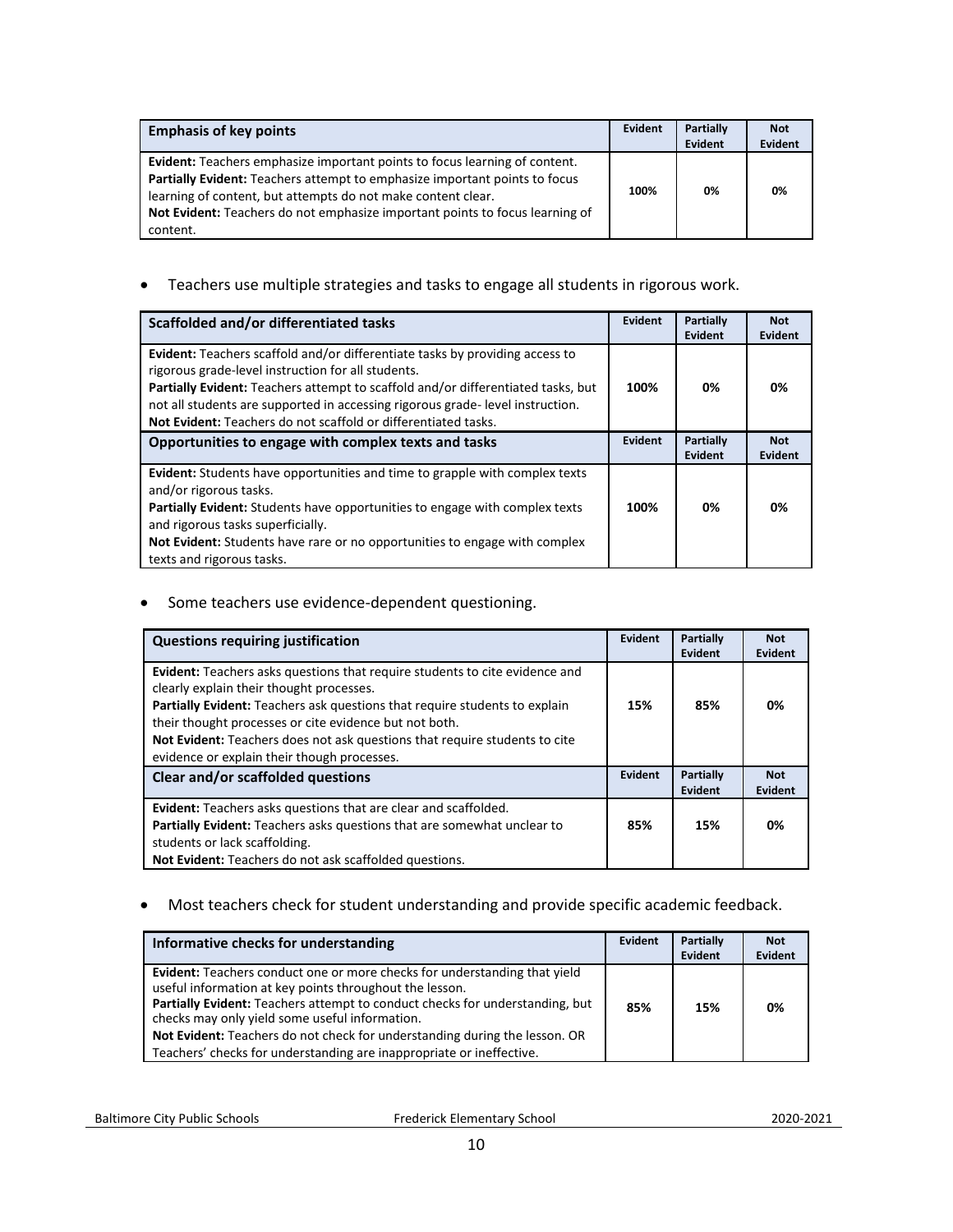| <b>Emphasis of key points</b>                                                                                                                                                                                                                                                                                        | Evident | <b>Partially</b><br>Evident | <b>Not</b><br>Evident |
|----------------------------------------------------------------------------------------------------------------------------------------------------------------------------------------------------------------------------------------------------------------------------------------------------------------------|---------|-----------------------------|-----------------------|
| Evident: Teachers emphasize important points to focus learning of content.<br>Partially Evident: Teachers attempt to emphasize important points to focus<br>learning of content, but attempts do not make content clear.<br>Not Evident: Teachers do not emphasize important points to focus learning of<br>content. | 100%    | 0%                          | 0%                    |

• Teachers use multiple strategies and tasks to engage all students in rigorous work.

| Scaffolded and/or differentiated tasks                                                                                                                                                                                                                                                                                                                                           | <b>Evident</b> | Partially<br>Evident        | <b>Not</b><br>Evident        |
|----------------------------------------------------------------------------------------------------------------------------------------------------------------------------------------------------------------------------------------------------------------------------------------------------------------------------------------------------------------------------------|----------------|-----------------------------|------------------------------|
| <b>Evident:</b> Teachers scaffold and/or differentiate tasks by providing access to<br>rigorous grade-level instruction for all students.<br>Partially Evident: Teachers attempt to scaffold and/or differentiated tasks, but<br>not all students are supported in accessing rigorous grade-level instruction.<br>Not Evident: Teachers do not scaffold or differentiated tasks. | 100%           | 0%                          | 0%                           |
| Opportunities to engage with complex texts and tasks                                                                                                                                                                                                                                                                                                                             | <b>Evident</b> | Partially<br><b>Evident</b> | <b>Not</b><br><b>Evident</b> |
| Evident: Students have opportunities and time to grapple with complex texts<br>and/or rigorous tasks.<br>Partially Evident: Students have opportunities to engage with complex texts<br>and rigorous tasks superficially.<br><b>Not Evident:</b> Students have rare or no opportunities to engage with complex<br>texts and rigorous tasks.                                      | 100%           | 0%                          | 0%                           |

• Some teachers use evidence-dependent questioning.

| <b>Questions requiring justification</b>                                                                                                                                                                                                                                                                                                                                                            | Evident | <b>Partially</b><br>Evident | <b>Not</b><br>Evident        |
|-----------------------------------------------------------------------------------------------------------------------------------------------------------------------------------------------------------------------------------------------------------------------------------------------------------------------------------------------------------------------------------------------------|---------|-----------------------------|------------------------------|
| <b>Evident:</b> Teachers asks questions that require students to cite evidence and<br>clearly explain their thought processes.<br>Partially Evident: Teachers ask questions that require students to explain<br>their thought processes or cite evidence but not both.<br>Not Evident: Teachers does not ask questions that require students to cite<br>evidence or explain their though processes. | 15%     | 85%                         | 0%                           |
| Clear and/or scaffolded questions                                                                                                                                                                                                                                                                                                                                                                   | Evident | Partially<br>Evident        | <b>Not</b><br><b>Evident</b> |
| <b>Evident:</b> Teachers asks questions that are clear and scaffolded.<br>Partially Evident: Teachers asks questions that are somewhat unclear to<br>students or lack scaffolding.<br>Not Evident: Teachers do not ask scaffolded questions.                                                                                                                                                        | 85%     | 15%                         | 0%                           |

• Most teachers check for student understanding and provide specific academic feedback.

| Informative checks for understanding                                                                                                                                                                                                                                                                                                                                                                                                | Evident | <b>Partially</b><br>Evident | <b>Not</b><br>Evident |
|-------------------------------------------------------------------------------------------------------------------------------------------------------------------------------------------------------------------------------------------------------------------------------------------------------------------------------------------------------------------------------------------------------------------------------------|---------|-----------------------------|-----------------------|
| <b>Evident:</b> Teachers conduct one or more checks for understanding that yield<br>useful information at key points throughout the lesson.<br>Partially Evident: Teachers attempt to conduct checks for understanding, but<br>checks may only yield some useful information.<br>Not Evident: Teachers do not check for understanding during the lesson. OR<br>Teachers' checks for understanding are inappropriate or ineffective. | 85%     | 15%                         | 0%                    |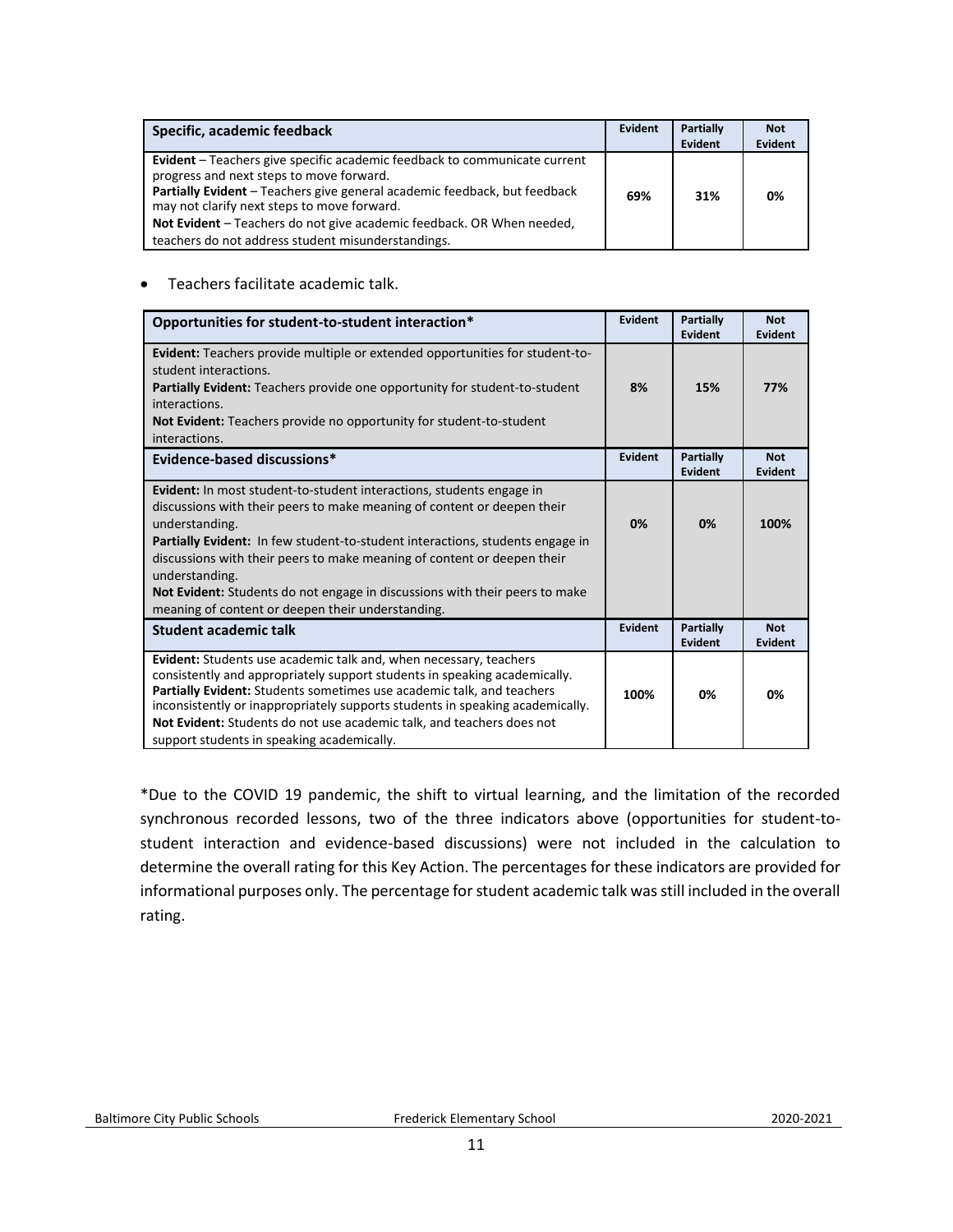| Specific, academic feedback                                                                                                                                                                                                                                                                                                                                                      | Evident | <b>Partially</b><br>Evident | <b>Not</b><br>Evident |
|----------------------------------------------------------------------------------------------------------------------------------------------------------------------------------------------------------------------------------------------------------------------------------------------------------------------------------------------------------------------------------|---------|-----------------------------|-----------------------|
| Evident - Teachers give specific academic feedback to communicate current<br>progress and next steps to move forward.<br>Partially Evident - Teachers give general academic feedback, but feedback<br>may not clarify next steps to move forward.<br>Not Evident - Teachers do not give academic feedback. OR When needed,<br>teachers do not address student misunderstandings. | 69%     | 31%                         | 0%                    |

#### • Teachers facilitate academic talk.

| Opportunities for student-to-student interaction*                                                                                                                                                                                                                                                                                                                                                                                                                                          | Evident | Partially<br>Evident        | <b>Not</b><br><b>Evident</b> |
|--------------------------------------------------------------------------------------------------------------------------------------------------------------------------------------------------------------------------------------------------------------------------------------------------------------------------------------------------------------------------------------------------------------------------------------------------------------------------------------------|---------|-----------------------------|------------------------------|
| <b>Evident:</b> Teachers provide multiple or extended opportunities for student-to-<br>student interactions.<br><b>Partially Evident:</b> Teachers provide one opportunity for student-to-student<br>interactions.<br><b>Not Evident:</b> Teachers provide no opportunity for student-to-student<br>interactions.                                                                                                                                                                          | 8%      | 15%                         | 77%                          |
| Evidence-based discussions*                                                                                                                                                                                                                                                                                                                                                                                                                                                                | Evident | Partially<br>Evident        | <b>Not</b><br><b>Evident</b> |
| Evident: In most student-to-student interactions, students engage in<br>discussions with their peers to make meaning of content or deepen their<br>understanding.<br><b>Partially Evident:</b> In few student-to-student interactions, students engage in<br>discussions with their peers to make meaning of content or deepen their<br>understanding.<br>Not Evident: Students do not engage in discussions with their peers to make<br>meaning of content or deepen their understanding. | 0%      | 0%                          | 100%                         |
| Student academic talk                                                                                                                                                                                                                                                                                                                                                                                                                                                                      | Evident | Partially<br><b>Evident</b> | <b>Not</b><br><b>Evident</b> |
| Evident: Students use academic talk and, when necessary, teachers<br>consistently and appropriately support students in speaking academically.<br>Partially Evident: Students sometimes use academic talk, and teachers<br>inconsistently or inappropriately supports students in speaking academically.<br>Not Evident: Students do not use academic talk, and teachers does not<br>support students in speaking academically.                                                            | 100%    | 0%                          | 0%                           |

\*Due to the COVID 19 pandemic, the shift to virtual learning, and the limitation of the recorded synchronous recorded lessons, two of the three indicators above (opportunities for student-tostudent interaction and evidence-based discussions) were not included in the calculation to determine the overall rating for this Key Action. The percentages for these indicators are provided for informational purposes only. The percentage for student academic talk was still included in the overall rating.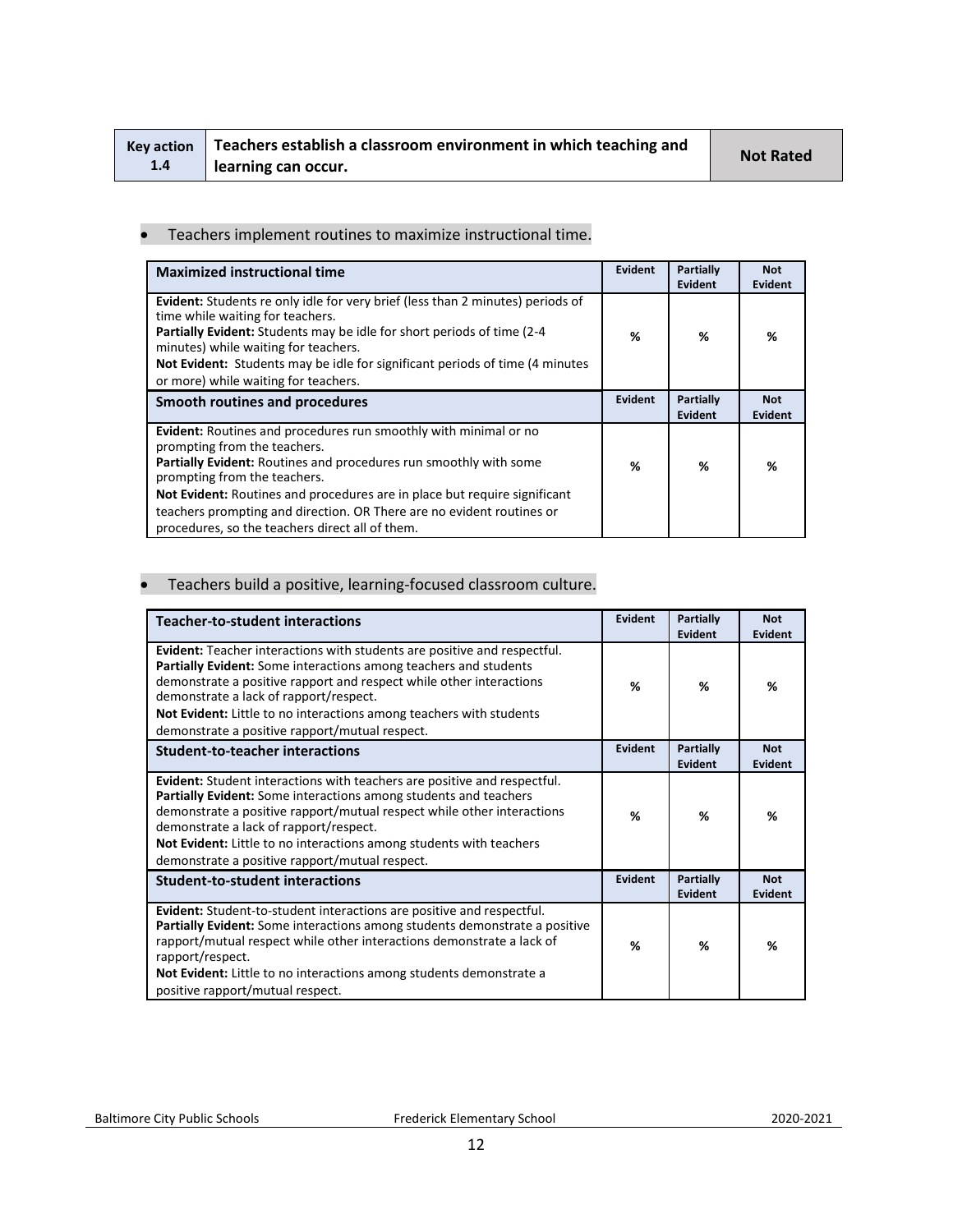|     | Key action   Teachers establish a classroom environment in which teaching and |                  |
|-----|-------------------------------------------------------------------------------|------------------|
| 1.4 | l learning can occur.                                                         | <b>Not Rated</b> |

#### • Teachers implement routines to maximize instructional time.

| <b>Maximized instructional time</b>                                                                                                                                                                                                                                                                                                                                                                                          | Evident        | Partially<br><b>Evident</b> | <b>Not</b><br><b>Evident</b> |
|------------------------------------------------------------------------------------------------------------------------------------------------------------------------------------------------------------------------------------------------------------------------------------------------------------------------------------------------------------------------------------------------------------------------------|----------------|-----------------------------|------------------------------|
| <b>Evident:</b> Students re only idle for very brief (less than 2 minutes) periods of<br>time while waiting for teachers.<br><b>Partially Evident:</b> Students may be idle for short periods of time (2-4)<br>minutes) while waiting for teachers.<br>Not Evident: Students may be idle for significant periods of time (4 minutes)<br>or more) while waiting for teachers.                                                 | ℅              | %                           | %                            |
| Smooth routines and procedures                                                                                                                                                                                                                                                                                                                                                                                               | <b>Evident</b> | Partially<br><b>Evident</b> | <b>Not</b><br>Evident        |
| Evident: Routines and procedures run smoothly with minimal or no<br>prompting from the teachers.<br><b>Partially Evident:</b> Routines and procedures run smoothly with some<br>prompting from the teachers.<br><b>Not Evident:</b> Routines and procedures are in place but require significant<br>teachers prompting and direction. OR There are no evident routines or<br>procedures, so the teachers direct all of them. | %              | %                           | %                            |

# • Teachers build a positive, learning-focused classroom culture.

| <b>Teacher-to-student interactions</b>                                                                                                                                                                                                                                                                                                                                                           | Evident        | Partially<br>Evident        | <b>Not</b><br><b>Evident</b> |
|--------------------------------------------------------------------------------------------------------------------------------------------------------------------------------------------------------------------------------------------------------------------------------------------------------------------------------------------------------------------------------------------------|----------------|-----------------------------|------------------------------|
| <b>Evident:</b> Teacher interactions with students are positive and respectful.<br>Partially Evident: Some interactions among teachers and students<br>demonstrate a positive rapport and respect while other interactions<br>demonstrate a lack of rapport/respect.<br>Not Evident: Little to no interactions among teachers with students<br>demonstrate a positive rapport/mutual respect.    | %              | ℅                           | %                            |
| <b>Student-to-teacher interactions</b>                                                                                                                                                                                                                                                                                                                                                           | <b>Evident</b> | <b>Partially</b><br>Evident | <b>Not</b><br>Evident        |
| <b>Evident:</b> Student interactions with teachers are positive and respectful.<br>Partially Evident: Some interactions among students and teachers<br>demonstrate a positive rapport/mutual respect while other interactions<br>demonstrate a lack of rapport/respect.<br>Not Evident: Little to no interactions among students with teachers<br>demonstrate a positive rapport/mutual respect. | %              | %                           | ℅                            |
| <b>Student-to-student interactions</b>                                                                                                                                                                                                                                                                                                                                                           | Evident        | Partially<br>Evident        | <b>Not</b><br>Evident        |
| Evident: Student-to-student interactions are positive and respectful.<br>Partially Evident: Some interactions among students demonstrate a positive<br>rapport/mutual respect while other interactions demonstrate a lack of<br>rapport/respect.<br><b>Not Evident:</b> Little to no interactions among students demonstrate a<br>positive rapport/mutual respect.                               | %              | %                           | %                            |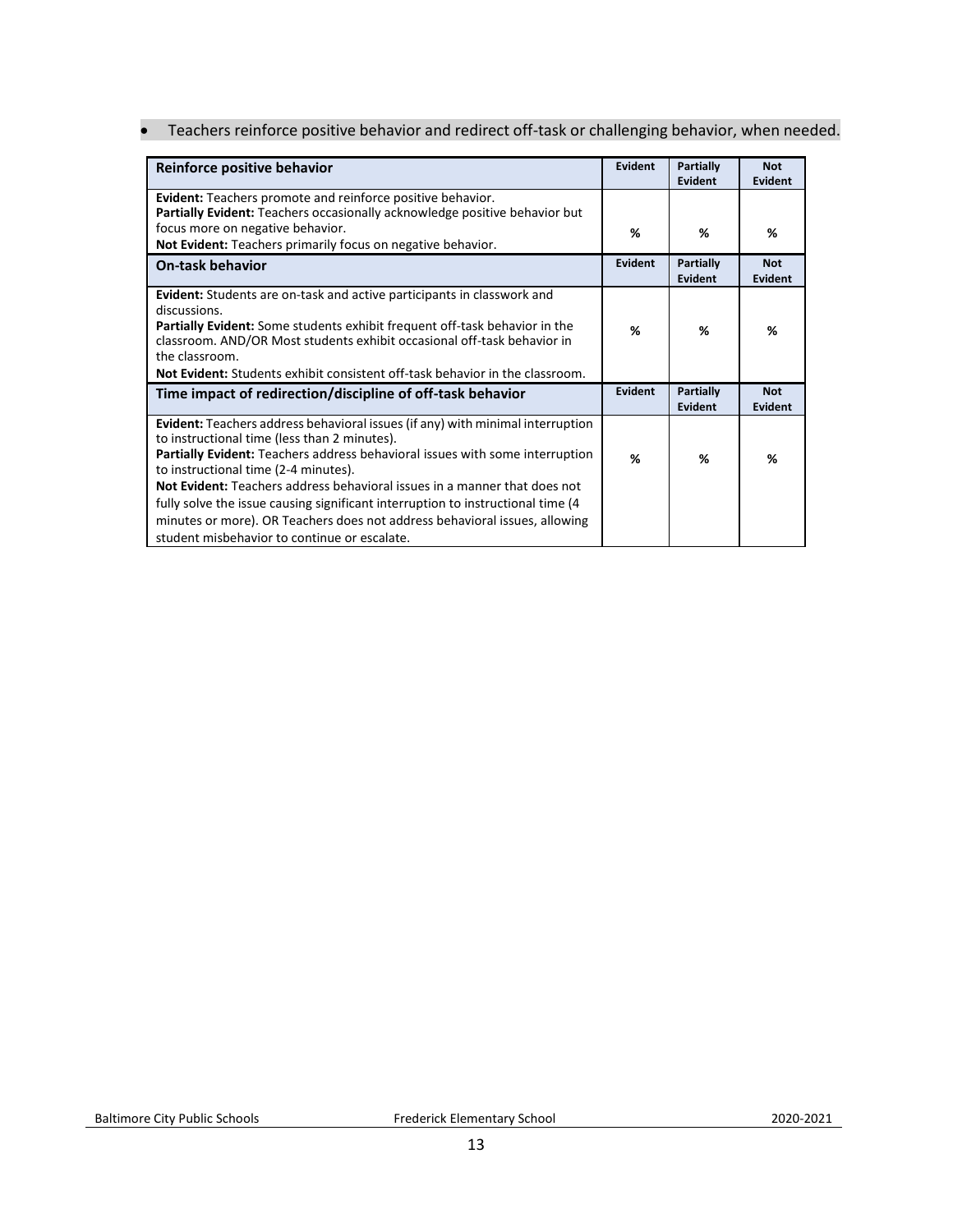• Teachers reinforce positive behavior and redirect off-task or challenging behavior, when needed.

| Reinforce positive behavior                                                                                                                                                                                                                                                                                                                                                                                                                                                                                                                                  | Evident | <b>Partially</b><br>Evident | <b>Not</b><br>Evident        |
|--------------------------------------------------------------------------------------------------------------------------------------------------------------------------------------------------------------------------------------------------------------------------------------------------------------------------------------------------------------------------------------------------------------------------------------------------------------------------------------------------------------------------------------------------------------|---------|-----------------------------|------------------------------|
| <b>Evident:</b> Teachers promote and reinforce positive behavior.<br>Partially Evident: Teachers occasionally acknowledge positive behavior but                                                                                                                                                                                                                                                                                                                                                                                                              |         |                             |                              |
| focus more on negative behavior.<br>Not Evident: Teachers primarily focus on negative behavior.                                                                                                                                                                                                                                                                                                                                                                                                                                                              | %       | %                           | %                            |
| <b>On-task behavior</b>                                                                                                                                                                                                                                                                                                                                                                                                                                                                                                                                      | Evident | <b>Partially</b><br>Evident | <b>Not</b><br><b>Evident</b> |
| <b>Evident:</b> Students are on-task and active participants in classwork and<br>discussions.<br><b>Partially Evident:</b> Some students exhibit frequent off-task behavior in the<br>classroom. AND/OR Most students exhibit occasional off-task behavior in<br>the classroom.<br><b>Not Evident:</b> Students exhibit consistent off-task behavior in the classroom.                                                                                                                                                                                       | %       | %                           | %                            |
| Time impact of redirection/discipline of off-task behavior                                                                                                                                                                                                                                                                                                                                                                                                                                                                                                   | Evident | Partially<br>Evident        | <b>Not</b><br><b>Evident</b> |
| <b>Evident:</b> Teachers address behavioral issues (if any) with minimal interruption<br>to instructional time (less than 2 minutes).<br>Partially Evident: Teachers address behavioral issues with some interruption<br>to instructional time (2-4 minutes).<br>Not Evident: Teachers address behavioral issues in a manner that does not<br>fully solve the issue causing significant interruption to instructional time (4)<br>minutes or more). OR Teachers does not address behavioral issues, allowing<br>student misbehavior to continue or escalate. | %       | ℅                           | %                            |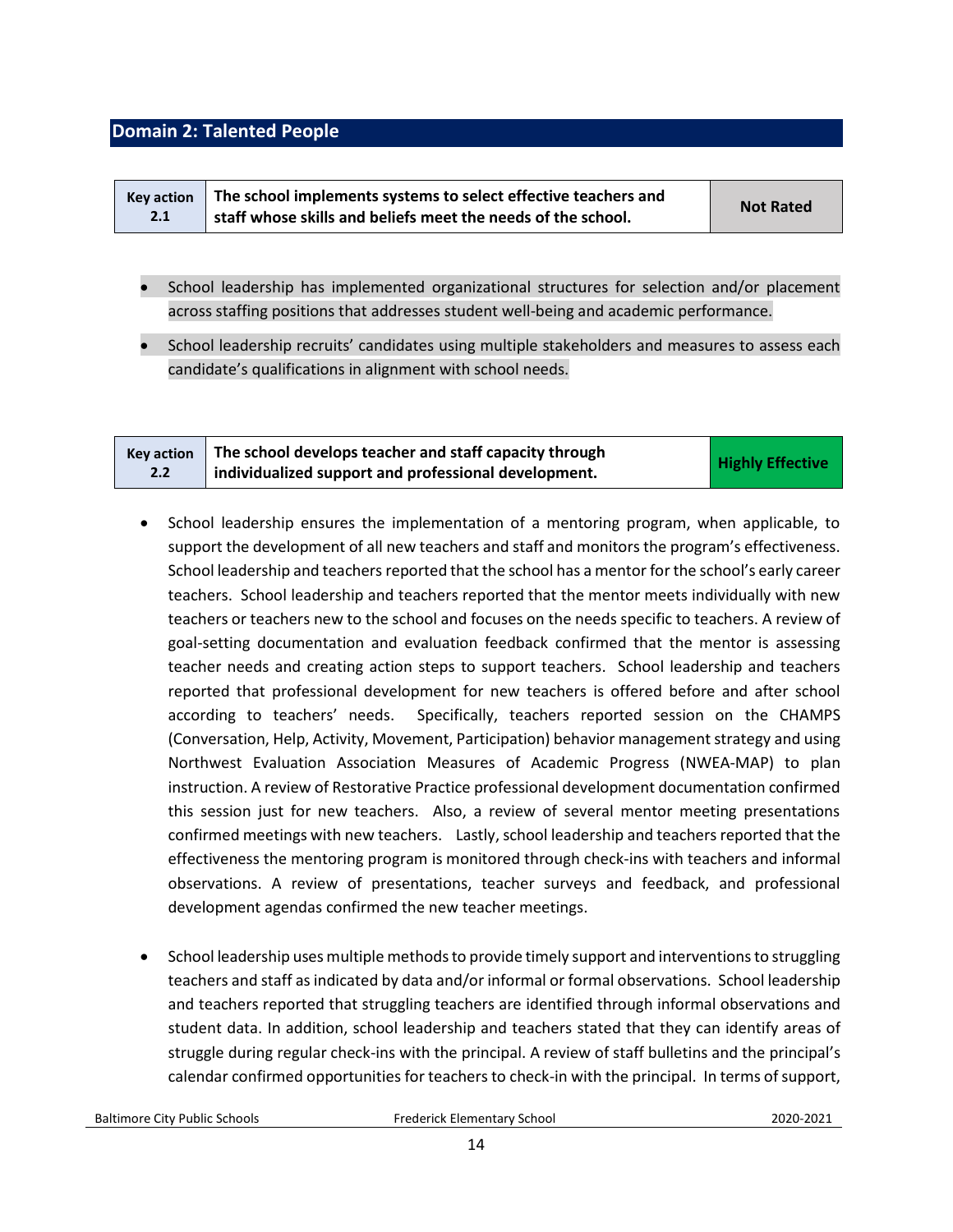## <span id="page-13-0"></span>**Domain 2: Talented People**

| <b>Kev action</b> | The school implements systems to select effective teachers and | <b>Not Rated</b> |
|-------------------|----------------------------------------------------------------|------------------|
| 2.1               | staff whose skills and beliefs meet the needs of the school.   |                  |

- School leadership has implemented organizational structures for selection and/or placement across staffing positions that addresses student well-being and academic performance.
- School leadership recruits' candidates using multiple stakeholders and measures to assess each candidate's qualifications in alignment with school needs.

| <b>Kev action</b> | The school develops teacher and staff capacity through |                         |
|-------------------|--------------------------------------------------------|-------------------------|
| 2.2               | individualized support and professional development.   | <b>Highly Effective</b> |

- School leadership ensures the implementation of a mentoring program, when applicable, to support the development of all new teachers and staff and monitors the program's effectiveness. School leadership and teachers reported that the school has a mentor for the school's early career teachers. School leadership and teachers reported that the mentor meets individually with new teachers or teachers new to the school and focuses on the needs specific to teachers. A review of goal-setting documentation and evaluation feedback confirmed that the mentor is assessing teacher needs and creating action steps to support teachers. School leadership and teachers reported that professional development for new teachers is offered before and after school according to teachers' needs. Specifically, teachers reported session on the CHAMPS (Conversation, Help, Activity, Movement, Participation) behavior management strategy and using Northwest Evaluation Association Measures of Academic Progress (NWEA-MAP) to plan instruction. A review of Restorative Practice professional development documentation confirmed this session just for new teachers. Also, a review of several mentor meeting presentations confirmed meetings with new teachers. Lastly, school leadership and teachers reported that the effectiveness the mentoring program is monitored through check-ins with teachers and informal observations. A review of presentations, teacher surveys and feedback, and professional development agendas confirmed the new teacher meetings.
- School leadership uses multiple methods to provide timely support and interventions to struggling teachers and staff as indicated by data and/or informal or formal observations. School leadership and teachers reported that struggling teachers are identified through informal observations and student data. In addition, school leadership and teachers stated that they can identify areas of struggle during regular check-ins with the principal. A review of staff bulletins and the principal's calendar confirmed opportunities for teachers to check-in with the principal. In terms of support,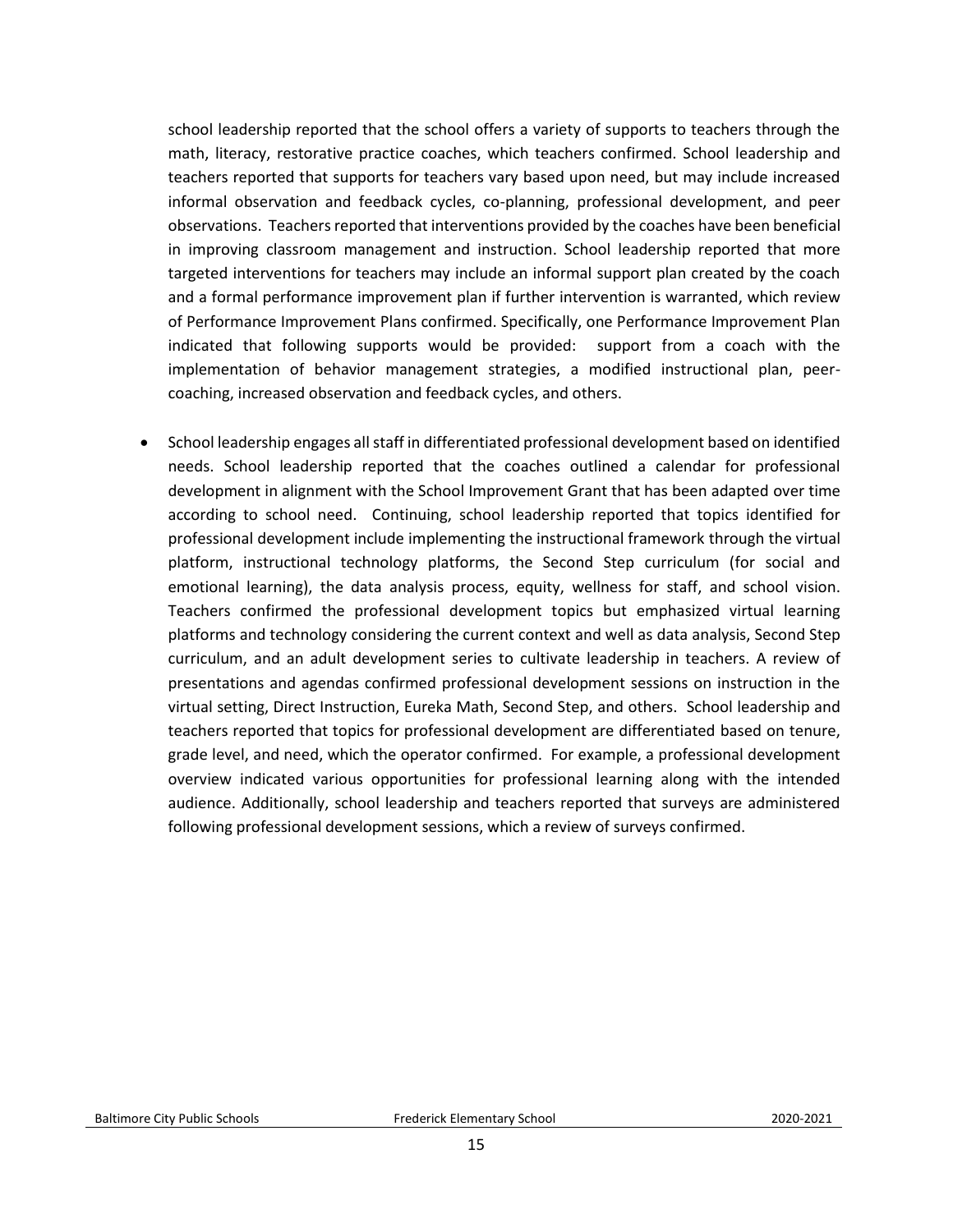school leadership reported that the school offers a variety of supports to teachers through the math, literacy, restorative practice coaches, which teachers confirmed. School leadership and teachers reported that supports for teachers vary based upon need, but may include increased informal observation and feedback cycles, co-planning, professional development, and peer observations. Teachers reported that interventions provided by the coaches have been beneficial in improving classroom management and instruction. School leadership reported that more targeted interventions for teachers may include an informal support plan created by the coach and a formal performance improvement plan if further intervention is warranted, which review of Performance Improvement Plans confirmed. Specifically, one Performance Improvement Plan indicated that following supports would be provided: support from a coach with the implementation of behavior management strategies, a modified instructional plan, peercoaching, increased observation and feedback cycles, and others.

• School leadership engages all staff in differentiated professional development based on identified needs. School leadership reported that the coaches outlined a calendar for professional development in alignment with the School Improvement Grant that has been adapted over time according to school need. Continuing, school leadership reported that topics identified for professional development include implementing the instructional framework through the virtual platform, instructional technology platforms, the Second Step curriculum (for social and emotional learning), the data analysis process, equity, wellness for staff, and school vision. Teachers confirmed the professional development topics but emphasized virtual learning platforms and technology considering the current context and well as data analysis, Second Step curriculum, and an adult development series to cultivate leadership in teachers. A review of presentations and agendas confirmed professional development sessions on instruction in the virtual setting, Direct Instruction, Eureka Math, Second Step, and others. School leadership and teachers reported that topics for professional development are differentiated based on tenure, grade level, and need, which the operator confirmed. For example, a professional development overview indicated various opportunities for professional learning along with the intended audience. Additionally, school leadership and teachers reported that surveys are administered following professional development sessions, which a review of surveys confirmed.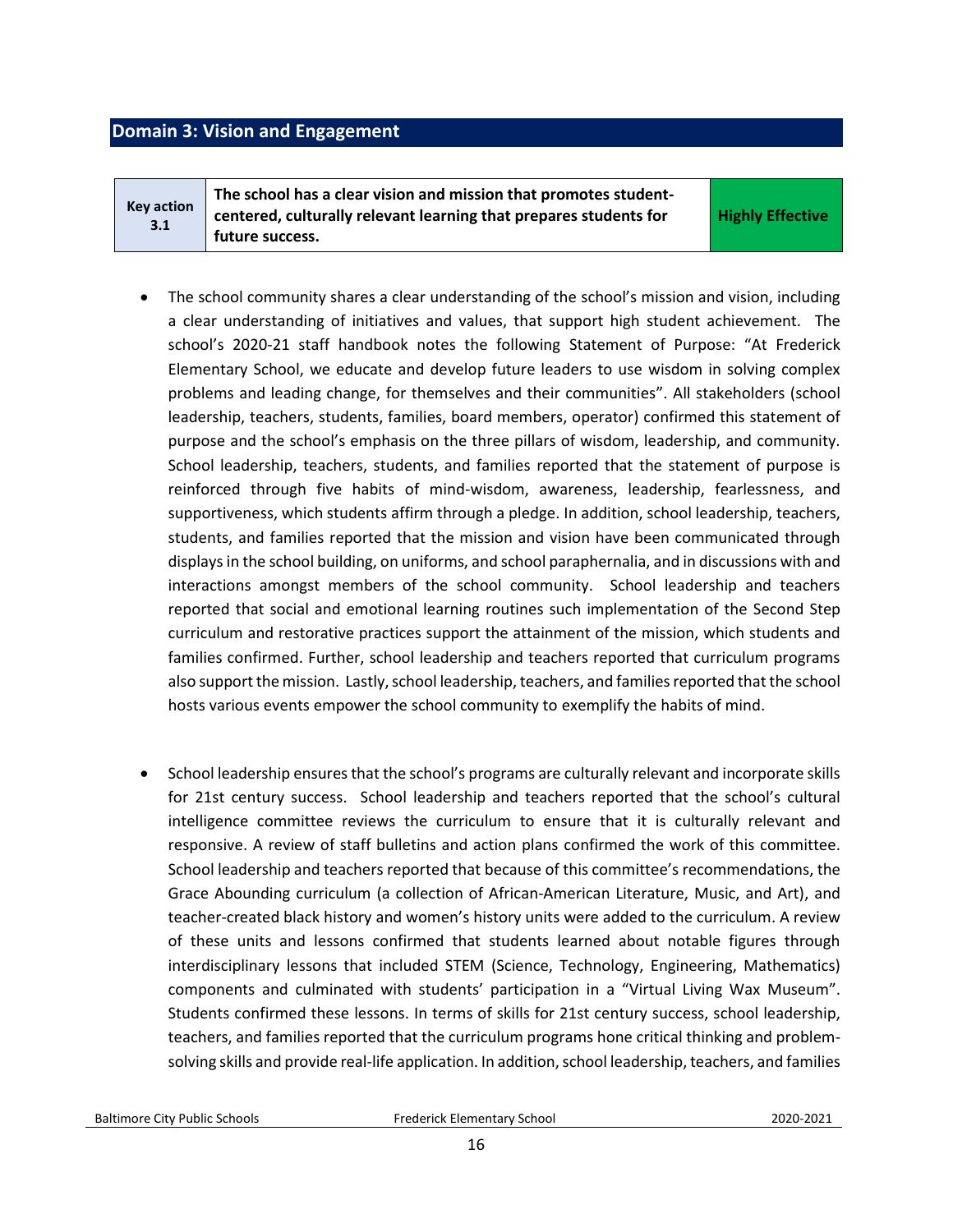# <span id="page-15-0"></span>**Domain 3: Vision and Engagement**

**Key action 3.1 The school has a clear vision and mission that promotes studentcentered, culturally relevant learning that prepares students for future success.** 

**Highly Effective**

- The school community shares a clear understanding of the school's mission and vision, including a clear understanding of initiatives and values, that support high student achievement. The school's 2020-21 staff handbook notes the following Statement of Purpose: "At Frederick Elementary School, we educate and develop future leaders to use wisdom in solving complex problems and leading change, for themselves and their communities". All stakeholders (school leadership, teachers, students, families, board members, operator) confirmed this statement of purpose and the school's emphasis on the three pillars of wisdom, leadership, and community. School leadership, teachers, students, and families reported that the statement of purpose is reinforced through five habits of mind-wisdom, awareness, leadership, fearlessness, and supportiveness, which students affirm through a pledge. In addition, school leadership, teachers, students, and families reported that the mission and vision have been communicated through displays in the school building, on uniforms, and school paraphernalia, and in discussions with and interactions amongst members of the school community. School leadership and teachers reported that social and emotional learning routines such implementation of the Second Step curriculum and restorative practices support the attainment of the mission, which students and families confirmed. Further, school leadership and teachers reported that curriculum programs also support the mission. Lastly, school leadership, teachers, and familiesreported that the school hosts various events empower the school community to exemplify the habits of mind.
- School leadership ensures that the school's programs are culturally relevant and incorporate skills for 21st century success. School leadership and teachers reported that the school's cultural intelligence committee reviews the curriculum to ensure that it is culturally relevant and responsive. A review of staff bulletins and action plans confirmed the work of this committee. School leadership and teachers reported that because of this committee's recommendations, the Grace Abounding curriculum (a collection of African-American Literature, Music, and Art), and teacher-created black history and women's history units were added to the curriculum. A review of these units and lessons confirmed that students learned about notable figures through interdisciplinary lessons that included STEM (Science, Technology, Engineering, Mathematics) components and culminated with students' participation in a "Virtual Living Wax Museum". Students confirmed these lessons. In terms of skills for 21st century success, school leadership, teachers, and families reported that the curriculum programs hone critical thinking and problemsolving skills and provide real-life application. In addition, school leadership, teachers, and families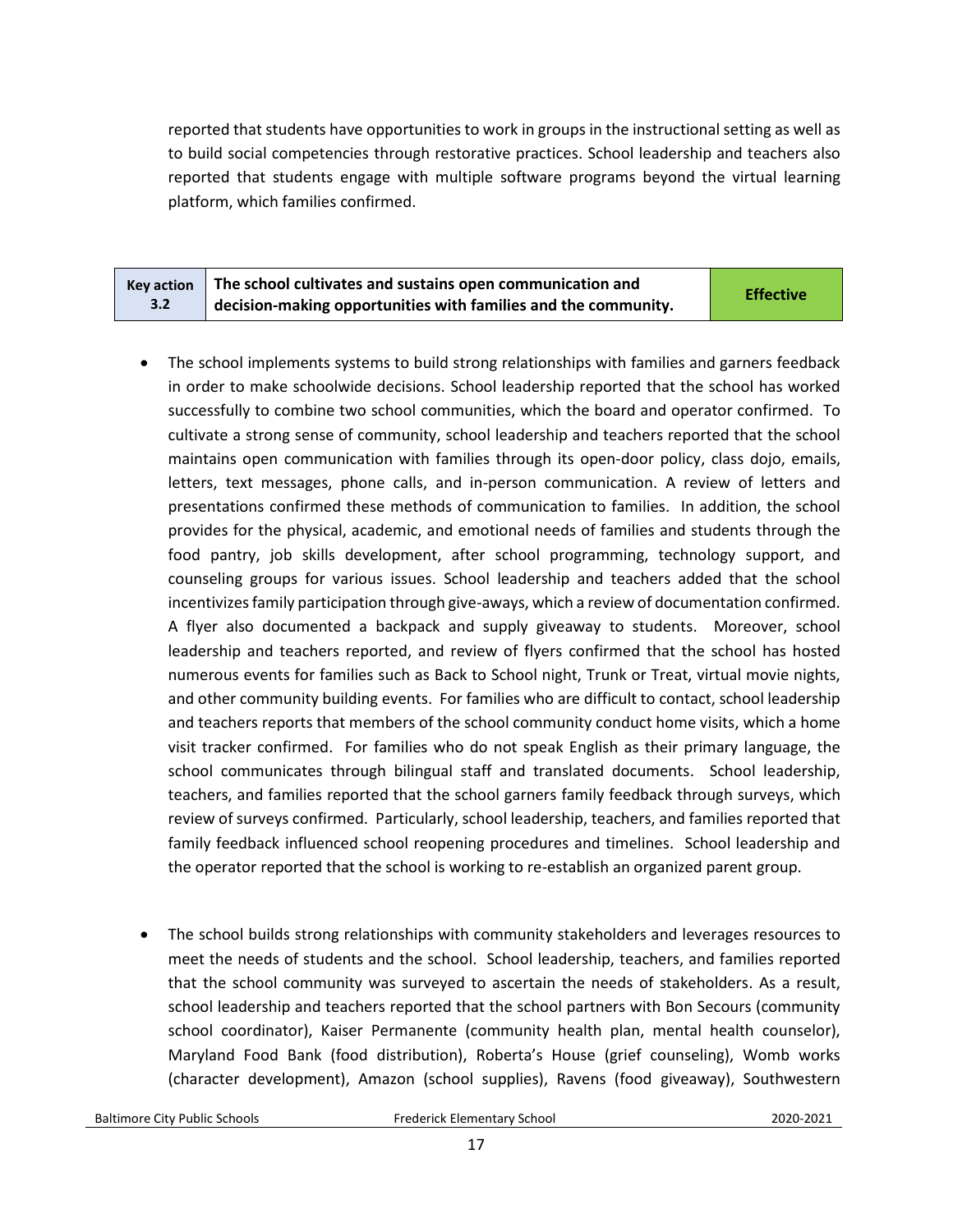reported that students have opportunities to work in groups in the instructional setting as well as to build social competencies through restorative practices. School leadership and teachers also reported that students engage with multiple software programs beyond the virtual learning platform, which families confirmed.

| $\overline{\phantom{a}}$ Key action $\overline{\phantom{a}}$ The school cultivates and sustains open communication and | <b>Effective</b> |
|------------------------------------------------------------------------------------------------------------------------|------------------|
| decision-making opportunities with families and the community.                                                         |                  |

- The school implements systems to build strong relationships with families and garners feedback in order to make schoolwide decisions. School leadership reported that the school has worked successfully to combine two school communities, which the board and operator confirmed. To cultivate a strong sense of community, school leadership and teachers reported that the school maintains open communication with families through its open-door policy, class dojo, emails, letters, text messages, phone calls, and in-person communication. A review of letters and presentations confirmed these methods of communication to families. In addition, the school provides for the physical, academic, and emotional needs of families and students through the food pantry, job skills development, after school programming, technology support, and counseling groups for various issues. School leadership and teachers added that the school incentivizes family participation through give-aways, which a review of documentation confirmed. A flyer also documented a backpack and supply giveaway to students. Moreover, school leadership and teachers reported, and review of flyers confirmed that the school has hosted numerous events for families such as Back to School night, Trunk or Treat, virtual movie nights, and other community building events. For families who are difficult to contact, school leadership and teachers reports that members of the school community conduct home visits, which a home visit tracker confirmed. For families who do not speak English as their primary language, the school communicates through bilingual staff and translated documents. School leadership, teachers, and families reported that the school garners family feedback through surveys, which review of surveys confirmed. Particularly, school leadership, teachers, and families reported that family feedback influenced school reopening procedures and timelines. School leadership and the operator reported that the school is working to re-establish an organized parent group.
- The school builds strong relationships with community stakeholders and leverages resources to meet the needs of students and the school. School leadership, teachers, and families reported that the school community was surveyed to ascertain the needs of stakeholders. As a result, school leadership and teachers reported that the school partners with Bon Secours (community school coordinator), Kaiser Permanente (community health plan, mental health counselor), Maryland Food Bank (food distribution), Roberta's House (grief counseling), Womb works (character development), Amazon (school supplies), Ravens (food giveaway), Southwestern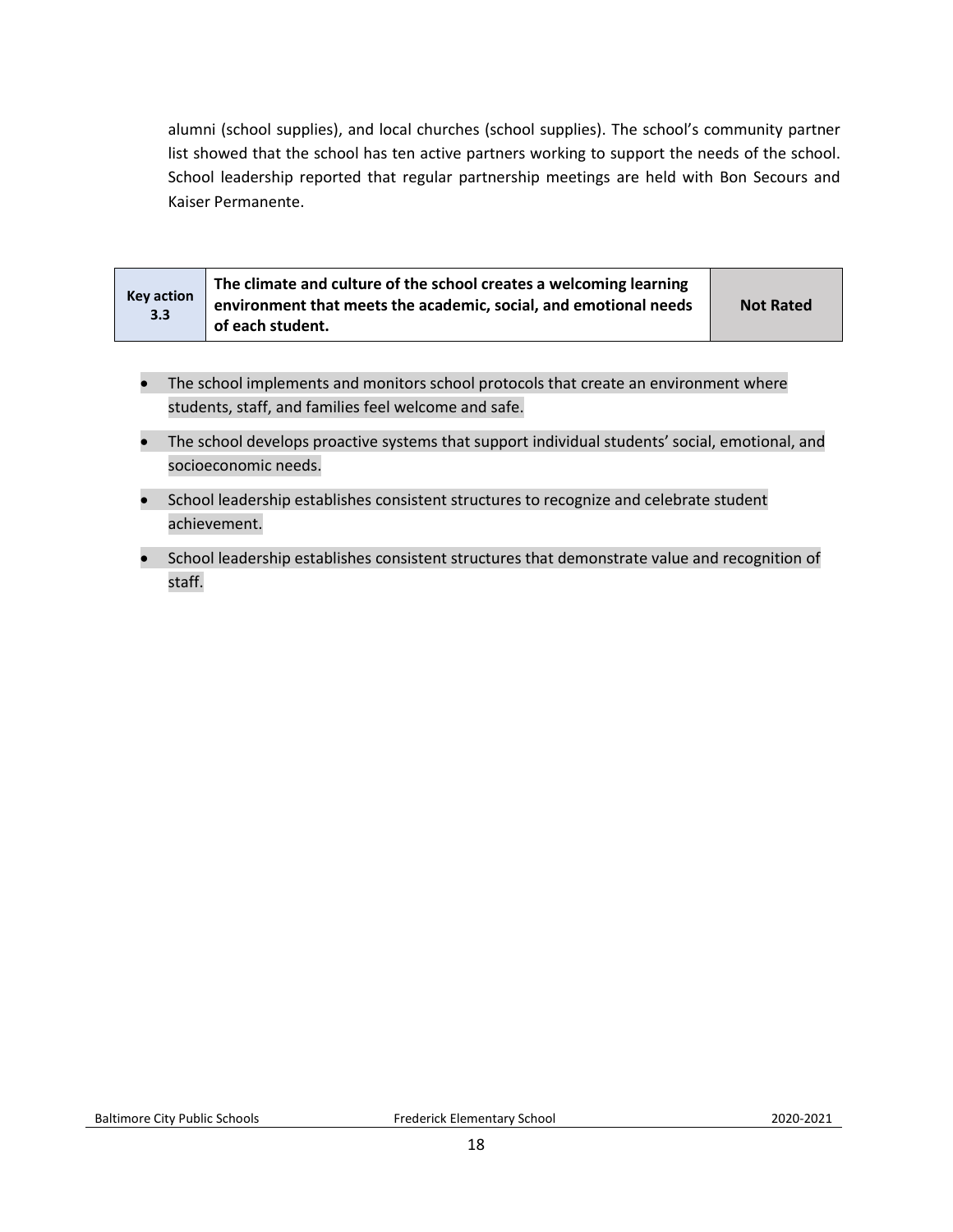alumni (school supplies), and local churches (school supplies). The school's community partner list showed that the school has ten active partners working to support the needs of the school. School leadership reported that regular partnership meetings are held with Bon Secours and Kaiser Permanente.

| <b>Key action</b><br>3.3 | The climate and culture of the school creates a welcoming learning<br>environment that meets the academic, social, and emotional needs<br>of each student. | <b>Not Rated</b> |
|--------------------------|------------------------------------------------------------------------------------------------------------------------------------------------------------|------------------|
|--------------------------|------------------------------------------------------------------------------------------------------------------------------------------------------------|------------------|

- The school implements and monitors school protocols that create an environment where students, staff, and families feel welcome and safe.
- The school develops proactive systems that support individual students' social, emotional, and socioeconomic needs.
- School leadership establishes consistent structures to recognize and celebrate student achievement.
- School leadership establishes consistent structures that demonstrate value and recognition of staff.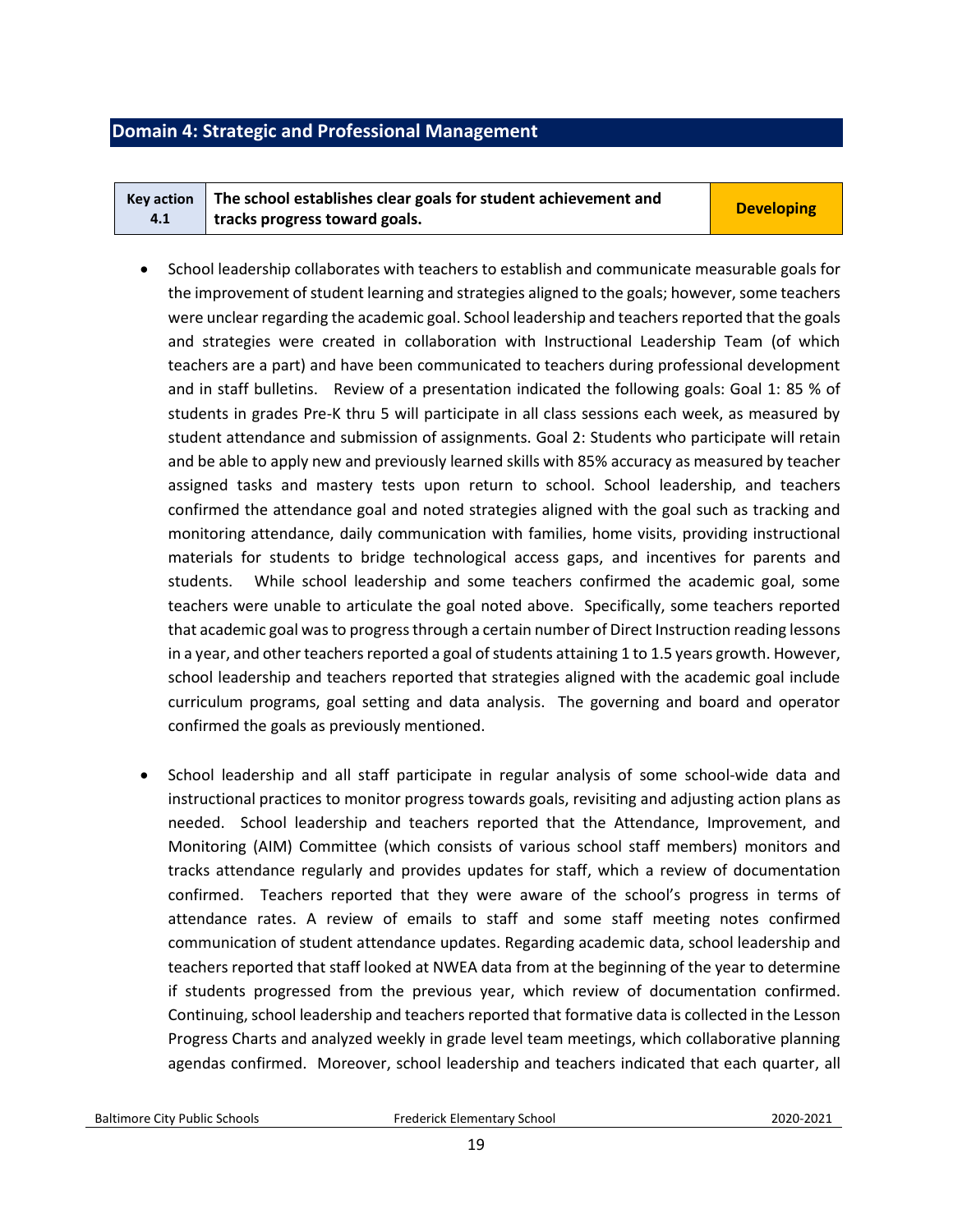## <span id="page-18-0"></span>**Domain 4: Strategic and Professional Management**

|     | $Key action$ The school establishes clear goals for student achievement and | <b>Developing</b> |
|-----|-----------------------------------------------------------------------------|-------------------|
| 4.1 | tracks progress toward goals.                                               |                   |

- School leadership collaborates with teachers to establish and communicate measurable goals for the improvement of student learning and strategies aligned to the goals; however, some teachers were unclear regarding the academic goal. School leadership and teachers reported that the goals and strategies were created in collaboration with Instructional Leadership Team (of which teachers are a part) and have been communicated to teachers during professional development and in staff bulletins. Review of a presentation indicated the following goals: Goal 1: 85 % of students in grades Pre-K thru 5 will participate in all class sessions each week, as measured by student attendance and submission of assignments. Goal 2: Students who participate will retain and be able to apply new and previously learned skills with 85% accuracy as measured by teacher assigned tasks and mastery tests upon return to school. School leadership, and teachers confirmed the attendance goal and noted strategies aligned with the goal such as tracking and monitoring attendance, daily communication with families, home visits, providing instructional materials for students to bridge technological access gaps, and incentives for parents and students. While school leadership and some teachers confirmed the academic goal, some teachers were unable to articulate the goal noted above. Specifically, some teachers reported that academic goal was to progress through a certain number of Direct Instruction reading lessons in a year, and other teachers reported a goal of students attaining 1 to 1.5 years growth. However, school leadership and teachers reported that strategies aligned with the academic goal include curriculum programs, goal setting and data analysis. The governing and board and operator confirmed the goals as previously mentioned.
- School leadership and all staff participate in regular analysis of some school-wide data and instructional practices to monitor progress towards goals, revisiting and adjusting action plans as needed. School leadership and teachers reported that the Attendance, Improvement, and Monitoring (AIM) Committee (which consists of various school staff members) monitors and tracks attendance regularly and provides updates for staff, which a review of documentation confirmed. Teachers reported that they were aware of the school's progress in terms of attendance rates. A review of emails to staff and some staff meeting notes confirmed communication of student attendance updates. Regarding academic data, school leadership and teachers reported that staff looked at NWEA data from at the beginning of the year to determine if students progressed from the previous year, which review of documentation confirmed. Continuing, school leadership and teachers reported that formative data is collected in the Lesson Progress Charts and analyzed weekly in grade level team meetings, which collaborative planning agendas confirmed. Moreover, school leadership and teachers indicated that each quarter, all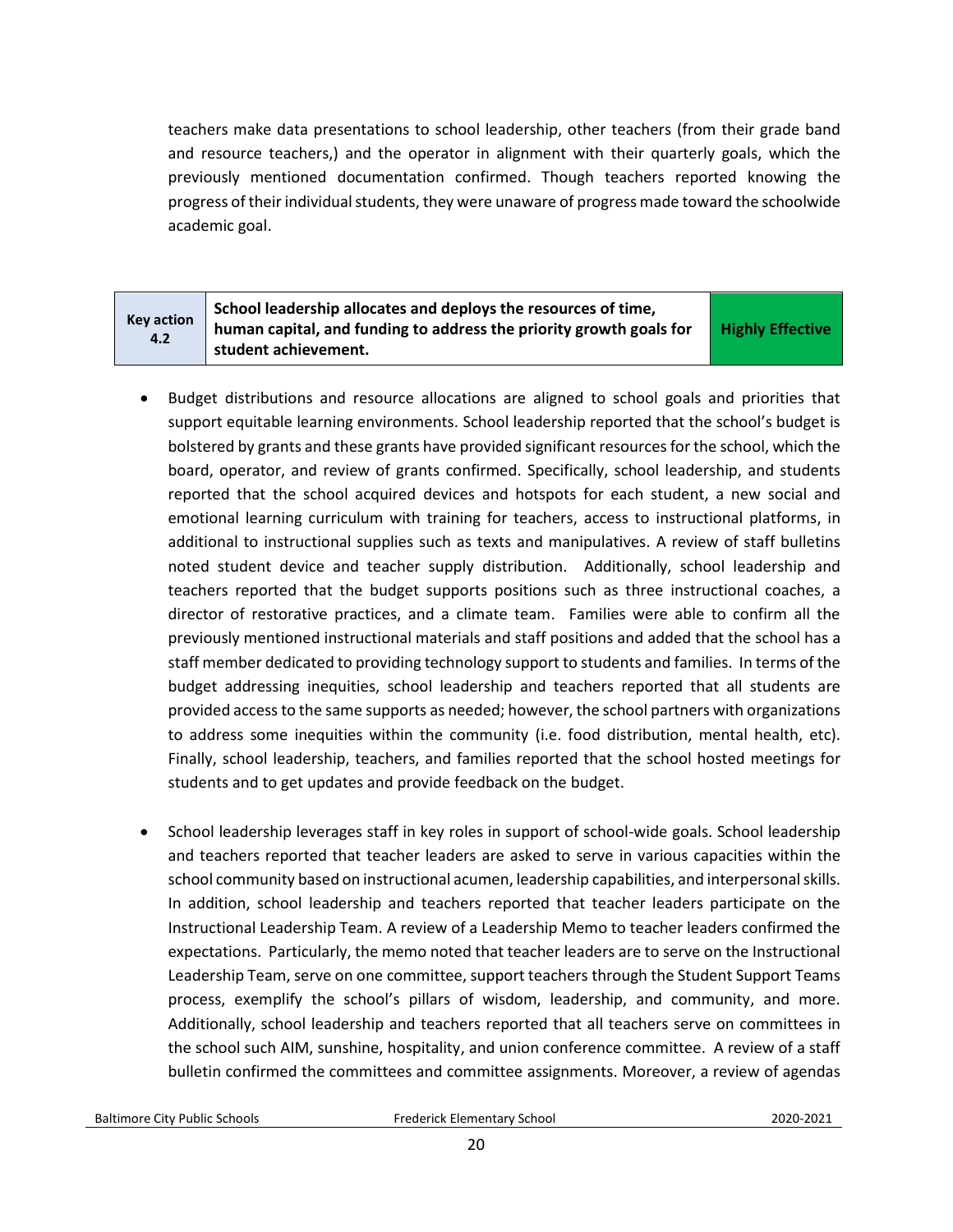teachers make data presentations to school leadership, other teachers (from their grade band and resource teachers,) and the operator in alignment with their quarterly goals, which the previously mentioned documentation confirmed. Though teachers reported knowing the progress of their individual students, they were unaware of progress made toward the schoolwide academic goal.

| <b>Key action</b><br>4.2 | School leadership allocates and deploys the resources of time,<br>human capital, and funding to address the priority growth goals for | <b>Highly Effective</b> |
|--------------------------|---------------------------------------------------------------------------------------------------------------------------------------|-------------------------|
|                          | student achievement.                                                                                                                  |                         |

- Budget distributions and resource allocations are aligned to school goals and priorities that support equitable learning environments. School leadership reported that the school's budget is bolstered by grants and these grants have provided significant resources for the school, which the board, operator, and review of grants confirmed. Specifically, school leadership, and students reported that the school acquired devices and hotspots for each student, a new social and emotional learning curriculum with training for teachers, access to instructional platforms, in additional to instructional supplies such as texts and manipulatives. A review of staff bulletins noted student device and teacher supply distribution. Additionally, school leadership and teachers reported that the budget supports positions such as three instructional coaches, a director of restorative practices, and a climate team. Families were able to confirm all the previously mentioned instructional materials and staff positions and added that the school has a staff member dedicated to providing technology support to students and families. In terms of the budget addressing inequities, school leadership and teachers reported that all students are provided access to the same supports as needed; however, the school partners with organizations to address some inequities within the community (i.e. food distribution, mental health, etc). Finally, school leadership, teachers, and families reported that the school hosted meetings for students and to get updates and provide feedback on the budget.
- School leadership leverages staff in key roles in support of school-wide goals. School leadership and teachers reported that teacher leaders are asked to serve in various capacities within the school community based on instructional acumen, leadership capabilities, and interpersonal skills. In addition, school leadership and teachers reported that teacher leaders participate on the Instructional Leadership Team. A review of a Leadership Memo to teacher leaders confirmed the expectations. Particularly, the memo noted that teacher leaders are to serve on the Instructional Leadership Team, serve on one committee, support teachers through the Student Support Teams process, exemplify the school's pillars of wisdom, leadership, and community, and more. Additionally, school leadership and teachers reported that all teachers serve on committees in the school such AIM, sunshine, hospitality, and union conference committee. A review of a staff bulletin confirmed the committees and committee assignments. Moreover, a review of agendas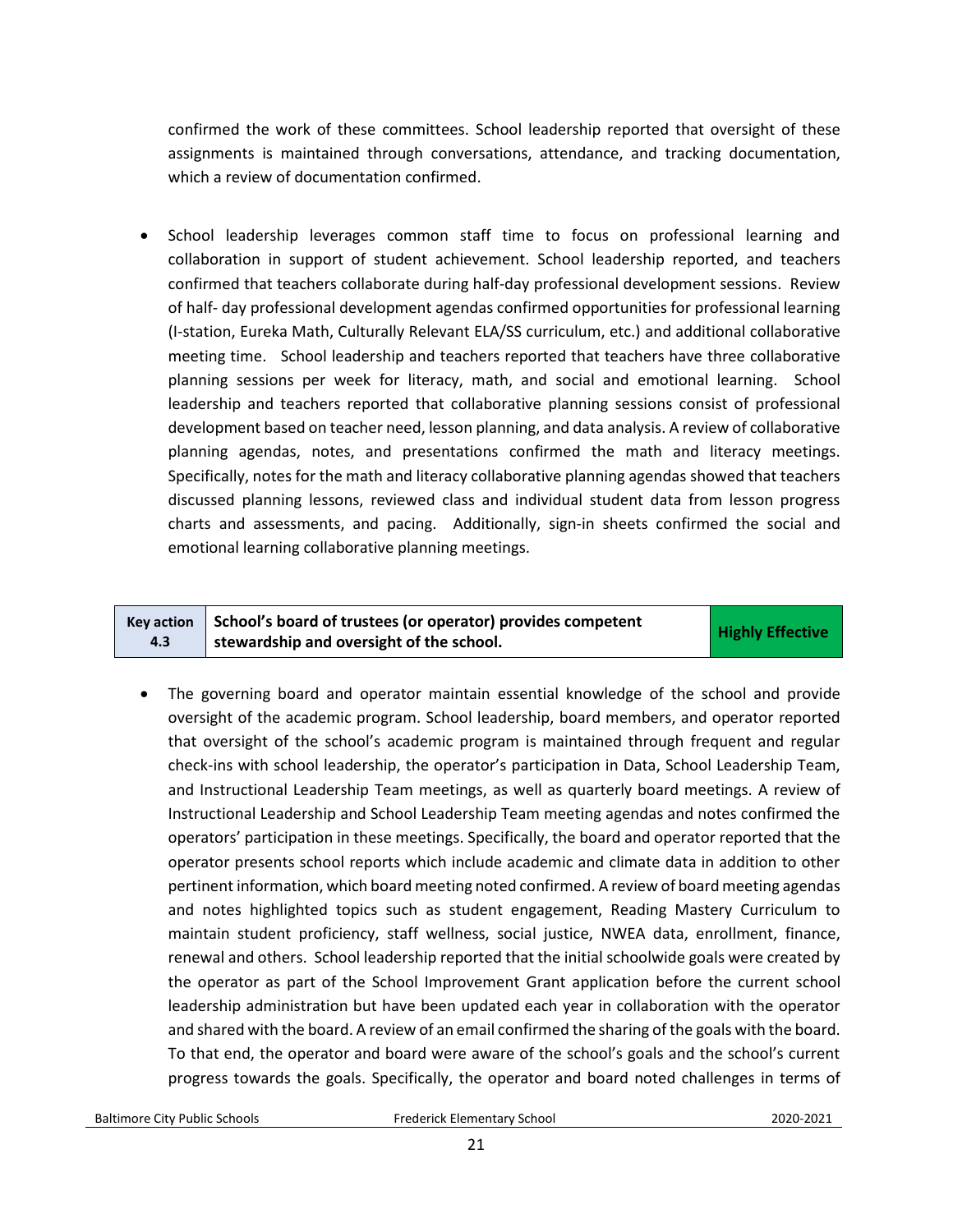confirmed the work of these committees. School leadership reported that oversight of these assignments is maintained through conversations, attendance, and tracking documentation, which a review of documentation confirmed.

• School leadership leverages common staff time to focus on professional learning and collaboration in support of student achievement. School leadership reported, and teachers confirmed that teachers collaborate during half-day professional development sessions. Review of half- day professional development agendas confirmed opportunities for professional learning (I-station, Eureka Math, Culturally Relevant ELA/SS curriculum, etc.) and additional collaborative meeting time. School leadership and teachers reported that teachers have three collaborative planning sessions per week for literacy, math, and social and emotional learning. School leadership and teachers reported that collaborative planning sessions consist of professional development based on teacher need, lesson planning, and data analysis. A review of collaborative planning agendas, notes, and presentations confirmed the math and literacy meetings. Specifically, notes for the math and literacy collaborative planning agendas showed that teachers discussed planning lessons, reviewed class and individual student data from lesson progress charts and assessments, and pacing. Additionally, sign-in sheets confirmed the social and emotional learning collaborative planning meetings.

| <b>Key action</b> | School's board of trustees (or operator) provides competent | <b>Highly Effective</b> |
|-------------------|-------------------------------------------------------------|-------------------------|
| 4.3               | stewardship and oversight of the school.                    |                         |

• The governing board and operator maintain essential knowledge of the school and provide oversight of the academic program. School leadership, board members, and operator reported that oversight of the school's academic program is maintained through frequent and regular check-ins with school leadership, the operator's participation in Data, School Leadership Team, and Instructional Leadership Team meetings, as well as quarterly board meetings. A review of Instructional Leadership and School Leadership Team meeting agendas and notes confirmed the operators' participation in these meetings. Specifically, the board and operator reported that the operator presents school reports which include academic and climate data in addition to other pertinent information, which board meeting noted confirmed. A review of board meeting agendas and notes highlighted topics such as student engagement, Reading Mastery Curriculum to maintain student proficiency, staff wellness, social justice, NWEA data, enrollment, finance, renewal and others. School leadership reported that the initial schoolwide goals were created by the operator as part of the School Improvement Grant application before the current school leadership administration but have been updated each year in collaboration with the operator and shared with the board. A review of an email confirmed the sharing of the goals with the board. To that end, the operator and board were aware of the school's goals and the school's current progress towards the goals. Specifically, the operator and board noted challenges in terms of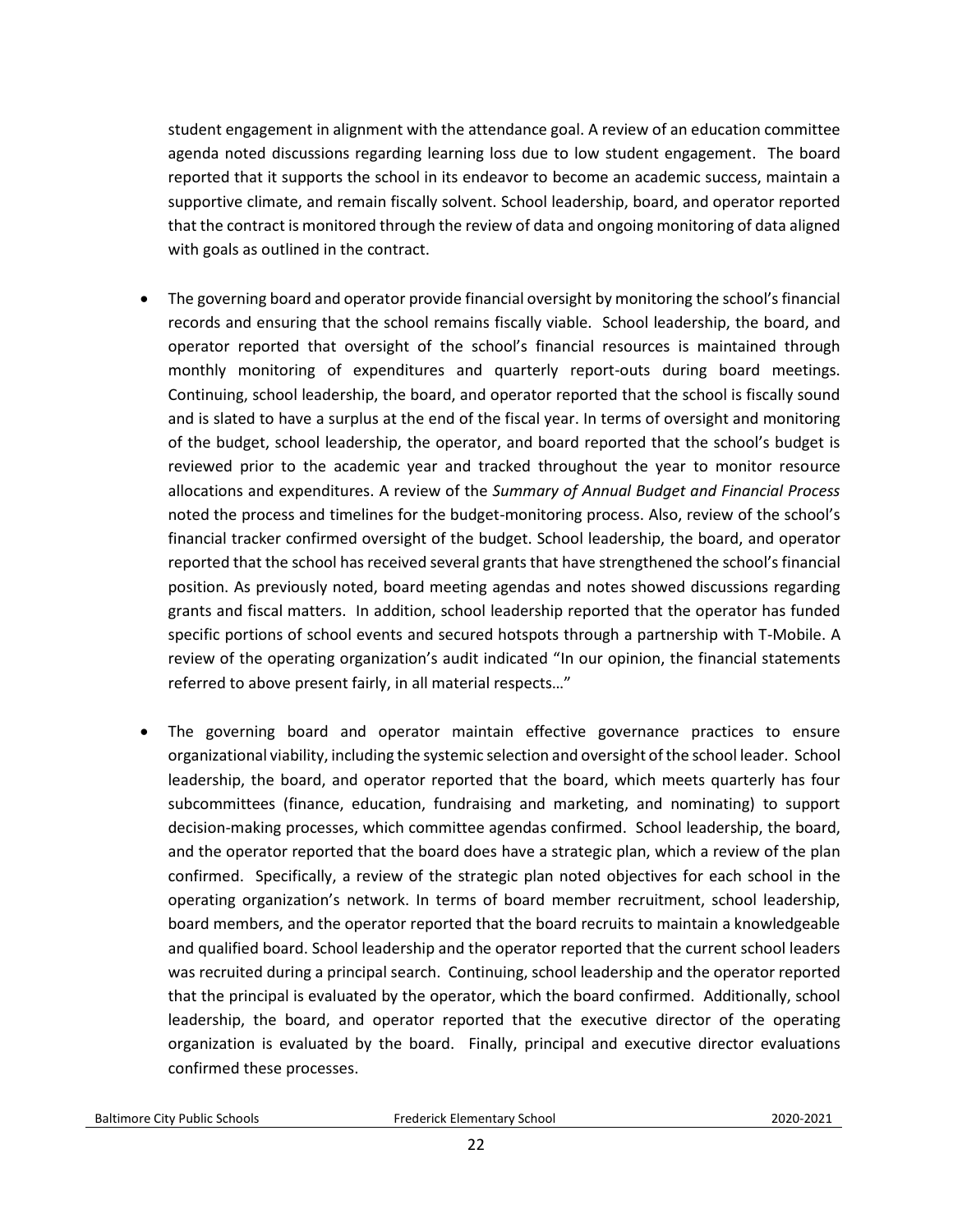student engagement in alignment with the attendance goal. A review of an education committee agenda noted discussions regarding learning loss due to low student engagement. The board reported that it supports the school in its endeavor to become an academic success, maintain a supportive climate, and remain fiscally solvent. School leadership, board, and operator reported that the contract is monitored through the review of data and ongoing monitoring of data aligned with goals as outlined in the contract.

- The governing board and operator provide financial oversight by monitoring the school's financial records and ensuring that the school remains fiscally viable. School leadership, the board, and operator reported that oversight of the school's financial resources is maintained through monthly monitoring of expenditures and quarterly report-outs during board meetings. Continuing, school leadership, the board, and operator reported that the school is fiscally sound and is slated to have a surplus at the end of the fiscal year. In terms of oversight and monitoring of the budget, school leadership, the operator, and board reported that the school's budget is reviewed prior to the academic year and tracked throughout the year to monitor resource allocations and expenditures. A review of the *Summary of Annual Budget and Financial Process* noted the process and timelines for the budget-monitoring process. Also, review of the school's financial tracker confirmed oversight of the budget. School leadership, the board, and operator reported that the school has received several grants that have strengthened the school's financial position. As previously noted, board meeting agendas and notes showed discussions regarding grants and fiscal matters. In addition, school leadership reported that the operator has funded specific portions of school events and secured hotspots through a partnership with T-Mobile. A review of the operating organization's audit indicated "In our opinion, the financial statements referred to above present fairly, in all material respects…"
- The governing board and operator maintain effective governance practices to ensure organizational viability, including the systemic selection and oversight of the school leader. School leadership, the board, and operator reported that the board, which meets quarterly has four subcommittees (finance, education, fundraising and marketing, and nominating) to support decision-making processes, which committee agendas confirmed. School leadership, the board, and the operator reported that the board does have a strategic plan, which a review of the plan confirmed. Specifically, a review of the strategic plan noted objectives for each school in the operating organization's network. In terms of board member recruitment, school leadership, board members, and the operator reported that the board recruits to maintain a knowledgeable and qualified board. School leadership and the operator reported that the current school leaders was recruited during a principal search. Continuing, school leadership and the operator reported that the principal is evaluated by the operator, which the board confirmed. Additionally, school leadership, the board, and operator reported that the executive director of the operating organization is evaluated by the board. Finally, principal and executive director evaluations confirmed these processes.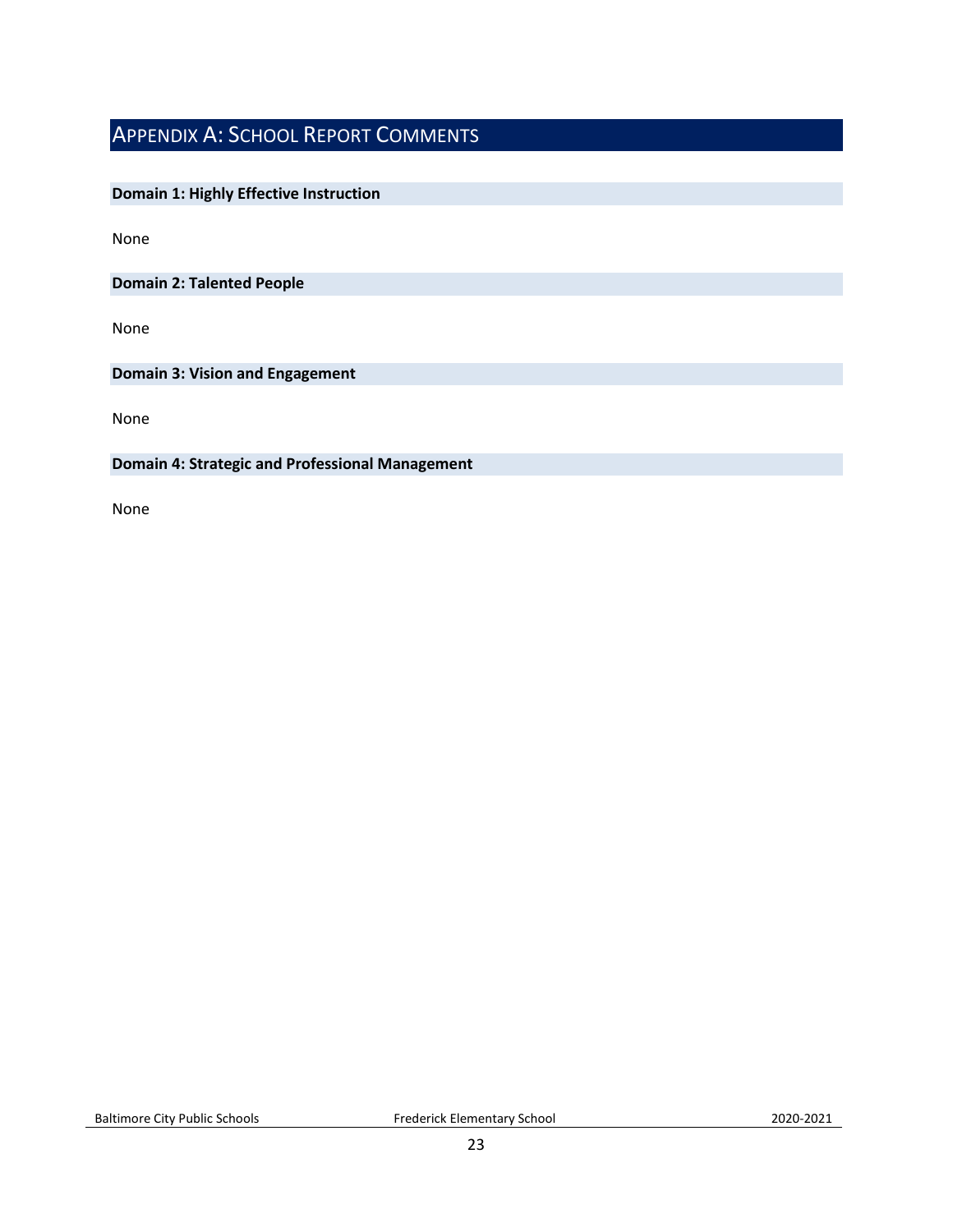# <span id="page-22-0"></span>APPENDIX A: SCHOOL REPORT COMMENTS

## **Domain 1: Highly Effective Instruction**

None

**Domain 2: Talented People**

None

**Domain 3: Vision and Engagement**

None

#### **Domain 4: Strategic and Professional Management**

None